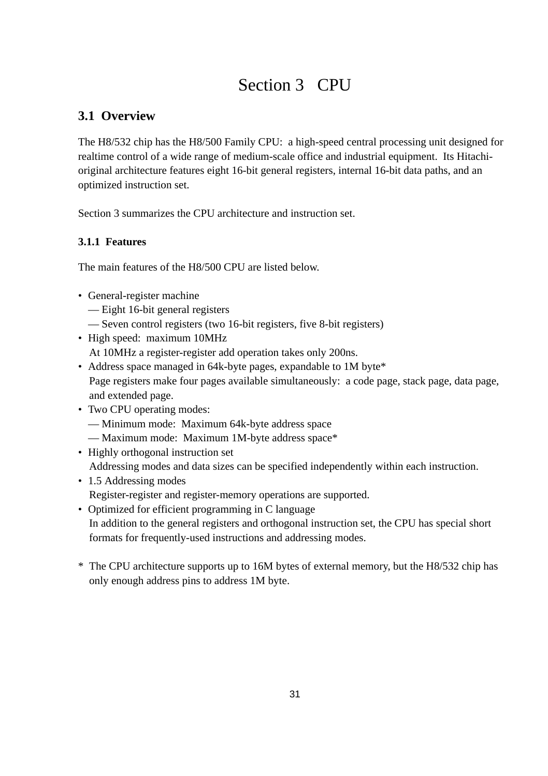# Section 3 CPU

# **3.1 Overview**

The H8/532 chip has the H8/500 Family CPU: a high-speed central processing unit designed for realtime control of a wide range of medium-scale office and industrial equipment. Its Hitachioriginal architecture features eight 16-bit general registers, internal 16-bit data paths, and an optimized instruction set.

Section 3 summarizes the CPU architecture and instruction set.

# **3.1.1 Features**

The main features of the H8/500 CPU are listed below.

- General-register machine
	- Eight 16-bit general registers
	- Seven control registers (two 16-bit registers, five 8-bit registers)
- High speed: maximum 10MHz At 10MHz a register-register add operation takes only 200ns.
- Address space managed in 64k-byte pages, expandable to 1M byte\* Page registers make four pages available simultaneously: a code page, stack page, data page, and extended page.
- Two CPU operating modes:
	- Minimum mode: Maximum 64k-byte address space
	- Maximum mode: Maximum 1M-byte address space\*
- Highly orthogonal instruction set Addressing modes and data sizes can be specified independently within each instruction.
- 1.5 Addressing modes Register-register and register-memory operations are supported.
- Optimized for efficient programming in C language In addition to the general registers and orthogonal instruction set, the CPU has special short formats for frequently-used instructions and addressing modes.
- \* The CPU architecture supports up to 16M bytes of external memory, but the H8/532 chip has only enough address pins to address 1M byte.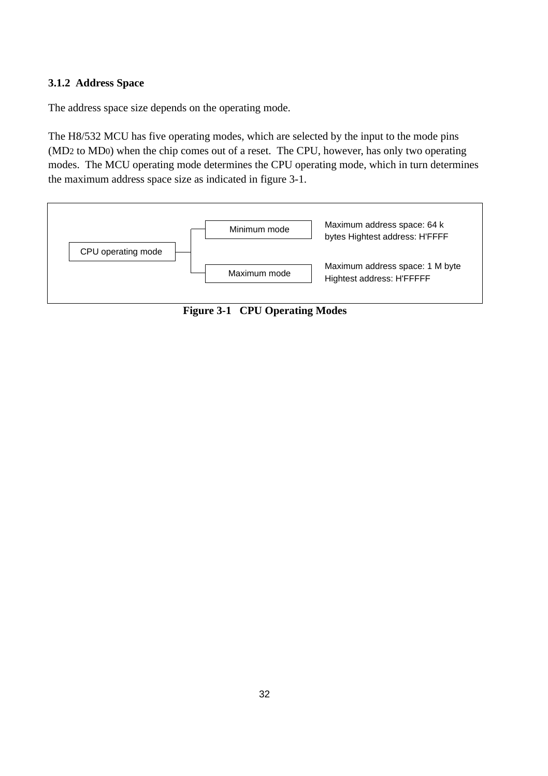### **3.1.2 Address Space**

The address space size depends on the operating mode.

The H8/532 MCU has five operating modes, which are selected by the input to the mode pins (MD2 to MD0) when the chip comes out of a reset. The CPU, however, has only two operating modes. The MCU operating mode determines the CPU operating mode, which in turn determines the maximum address space size as indicated in figure 3-1.



**Figure 3-1 CPU Operating Modes**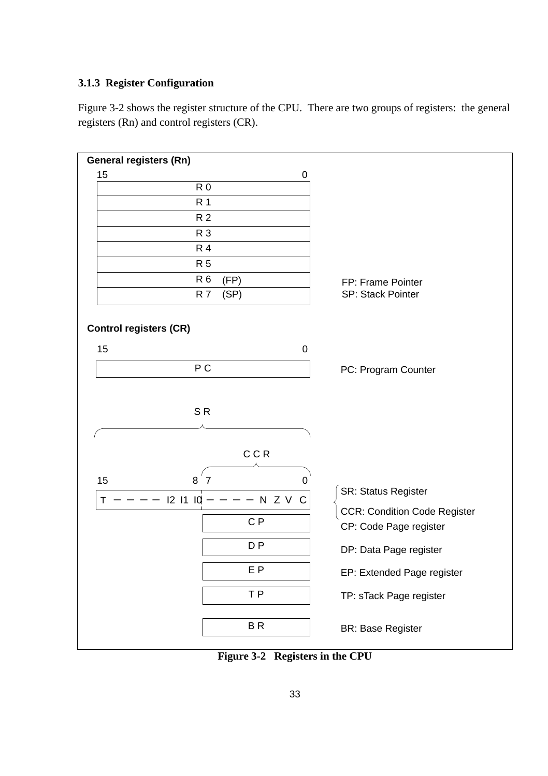#### **3.1.3 Register Configuration**

Figure 3-2 shows the register structure of the CPU. There are two groups of registers: the general registers (Rn) and control registers (CR).



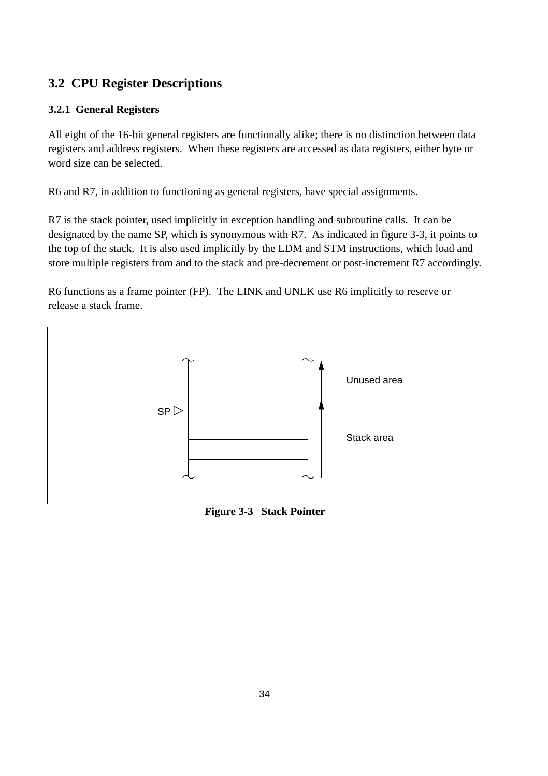# **3.2 CPU Register Descriptions**

# **3.2.1 General Registers**

All eight of the 16-bit general registers are functionally alike; there is no distinction between data registers and address registers. When these registers are accessed as data registers, either byte or word size can be selected.

R6 and R7, in addition to functioning as general registers, have special assignments.

R7 is the stack pointer, used implicitly in exception handling and subroutine calls. It can be designated by the name SP, which is synonymous with R7. As indicated in figure 3-3, it points to the top of the stack. It is also used implicitly by the LDM and STM instructions, which load and store multiple registers from and to the stack and pre-decrement or post-increment R7 accordingly.

R6 functions as a frame pointer (FP). The LINK and UNLK use R6 implicitly to reserve or release a stack frame.



**Figure 3-3 Stack Pointer**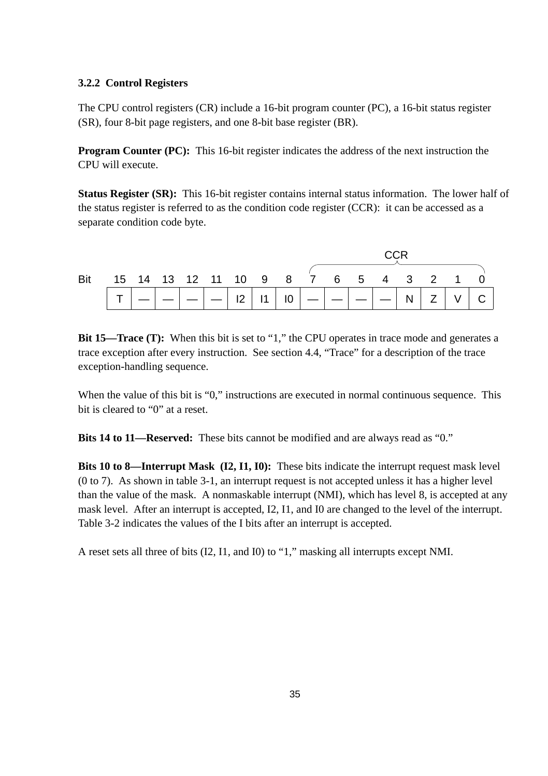#### **3.2.2 Control Registers**

The CPU control registers (CR) include a 16-bit program counter (PC), a 16-bit status register (SR), four 8-bit page registers, and one 8-bit base register (BR).

**Program Counter (PC):** This 16-bit register indicates the address of the next instruction the CPU will execute.

**Status Register (SR):** This 16-bit register contains internal status information. The lower half of the status register is referred to as the condition code register (CCR): it can be accessed as a separate condition code byte.



**Bit 15—Trace (T):** When this bit is set to "1," the CPU operates in trace mode and generates a trace exception after every instruction. See section 4.4, "Trace" for a description of the trace exception-handling sequence.

When the value of this bit is "0," instructions are executed in normal continuous sequence. This bit is cleared to "0" at a reset.

**Bits 14 to 11—Reserved:** These bits cannot be modified and are always read as "0."

**Bits 10 to 8—Interrupt Mask (I2, I1, I0):** These bits indicate the interrupt request mask level (0 to 7). As shown in table 3-1, an interrupt request is not accepted unless it has a higher level than the value of the mask. A nonmaskable interrupt (NMI), which has level 8, is accepted at any mask level. After an interrupt is accepted, I2, I1, and I0 are changed to the level of the interrupt. Table 3-2 indicates the values of the I bits after an interrupt is accepted.

A reset sets all three of bits (I2, I1, and I0) to "1," masking all interrupts except NMI.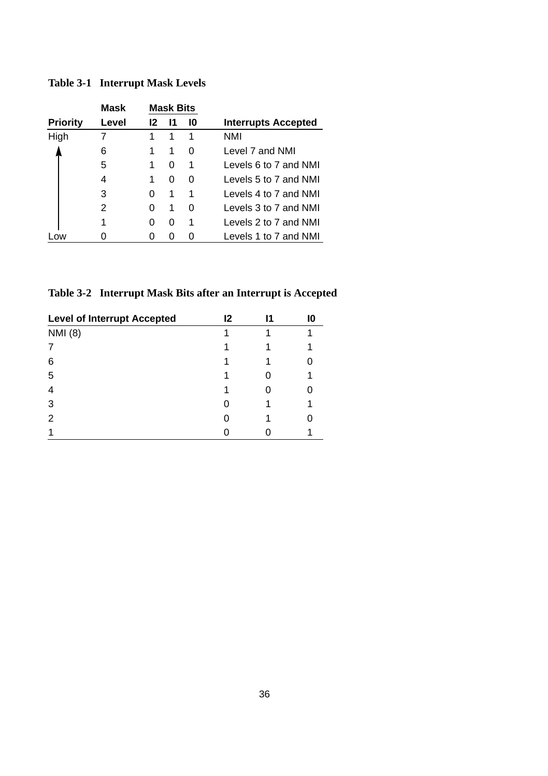|                 | Mask  |    | <b>Mask Bits</b> |    |                            |
|-----------------|-------|----|------------------|----|----------------------------|
| <b>Priority</b> | Level | 12 | 11               | 10 | <b>Interrupts Accepted</b> |
| High            |       | 1  | 1                | 1  | NMI                        |
|                 | 6     | 1  | 1                | 0  | Level 7 and NMI            |
|                 | 5     | 1  | 0                | 1  | Levels 6 to 7 and NMI      |
|                 | 4     | 1  | 0                | 0  | Levels 5 to 7 and NMI      |
|                 | 3     | 0  | 1                | 1  | Levels 4 to 7 and NMI      |
|                 | 2     | 0  | 1                | 0  | Levels 3 to 7 and NMI      |
|                 |       | O  | 0                | 1  | Levels 2 to 7 and NMI      |
| <b>OW</b>       |       |    | O                |    | Levels 1 to 7 and NMI      |

### **Table 3-1 Interrupt Mask Levels**

**Table 3-2 Interrupt Mask Bits after an Interrupt is Accepted**

| <b>Level of Interrupt Accepted</b> | $12 \,$ | 11 |  |
|------------------------------------|---------|----|--|
| <b>NMI</b> (8)                     |         |    |  |
|                                    |         |    |  |
| 6                                  |         |    |  |
| 5                                  |         |    |  |
| 4                                  |         |    |  |
| 3                                  |         |    |  |
| 2                                  |         |    |  |
|                                    |         |    |  |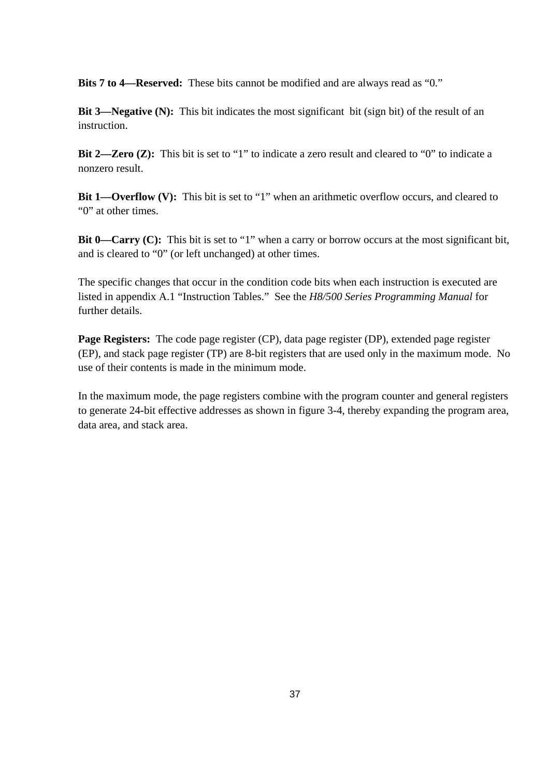**Bits 7 to 4—Reserved:** These bits cannot be modified and are always read as "0."

**Bit 3—Negative (N):** This bit indicates the most significant bit (sign bit) of the result of an instruction.

**Bit 2—Zero (Z):** This bit is set to "1" to indicate a zero result and cleared to "0" to indicate a nonzero result.

**Bit 1—Overflow (V):** This bit is set to "1" when an arithmetic overflow occurs, and cleared to "0" at other times.

**Bit 0—Carry (C):** This bit is set to "1" when a carry or borrow occurs at the most significant bit, and is cleared to "0" (or left unchanged) at other times.

The specific changes that occur in the condition code bits when each instruction is executed are listed in appendix A.1 "Instruction Tables." See the *H8/500 Series Programming Manual* for further details.

**Page Registers:** The code page register (CP), data page register (DP), extended page register (EP), and stack page register (TP) are 8-bit registers that are used only in the maximum mode. No use of their contents is made in the minimum mode.

In the maximum mode, the page registers combine with the program counter and general registers to generate 24-bit effective addresses as shown in figure 3-4, thereby expanding the program area, data area, and stack area.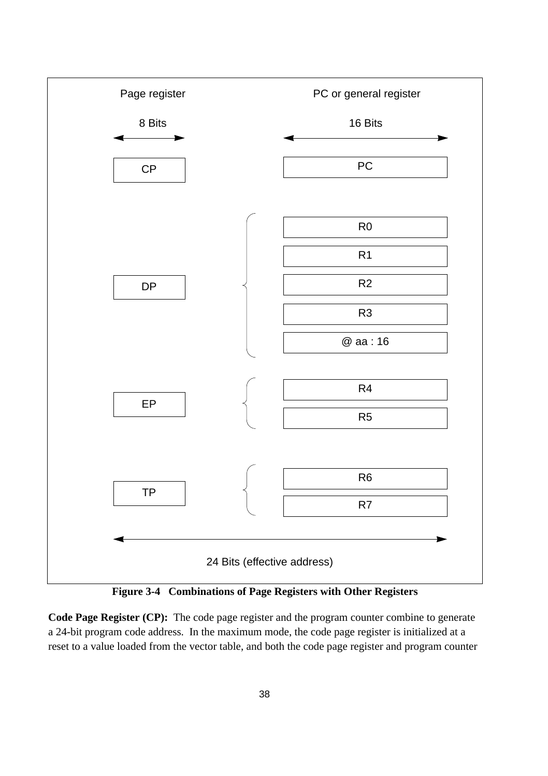

**Figure 3-4 Combinations of Page Registers with Other Registers**

**Code Page Register (CP):** The code page register and the program counter combine to generate a 24-bit program code address. In the maximum mode, the code page register is initialized at a reset to a value loaded from the vector table, and both the code page register and program counter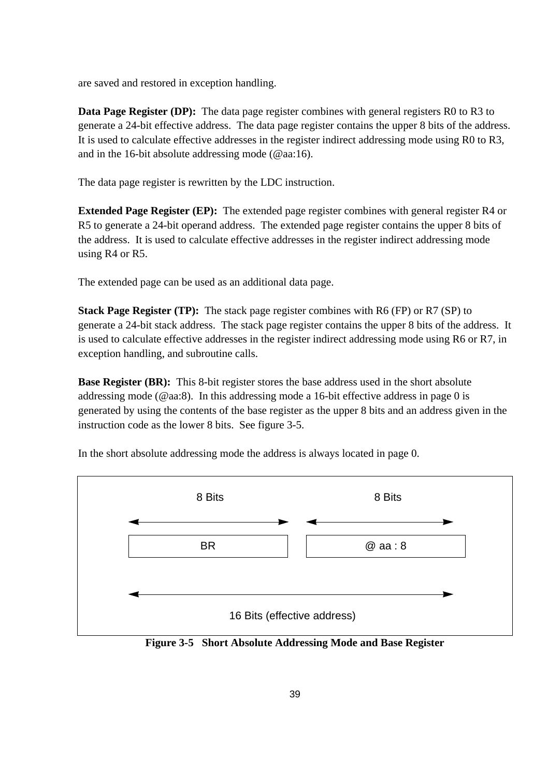are saved and restored in exception handling.

**Data Page Register (DP):** The data page register combines with general registers R0 to R3 to generate a 24-bit effective address. The data page register contains the upper 8 bits of the address. It is used to calculate effective addresses in the register indirect addressing mode using R0 to R3, and in the 16-bit absolute addressing mode (@aa:16).

The data page register is rewritten by the LDC instruction.

**Extended Page Register (EP):** The extended page register combines with general register R4 or R5 to generate a 24-bit operand address. The extended page register contains the upper 8 bits of the address. It is used to calculate effective addresses in the register indirect addressing mode using R4 or R5.

The extended page can be used as an additional data page.

**Stack Page Register (TP):** The stack page register combines with R6 (FP) or R7 (SP) to generate a 24-bit stack address. The stack page register contains the upper 8 bits of the address. It is used to calculate effective addresses in the register indirect addressing mode using R6 or R7, in exception handling, and subroutine calls.

**Base Register (BR):** This 8-bit register stores the base address used in the short absolute addressing mode (@aa:8). In this addressing mode a 16-bit effective address in page 0 is generated by using the contents of the base register as the upper 8 bits and an address given in the instruction code as the lower 8 bits. See figure 3-5.



In the short absolute addressing mode the address is always located in page 0.

**Figure 3-5 Short Absolute Addressing Mode and Base Register**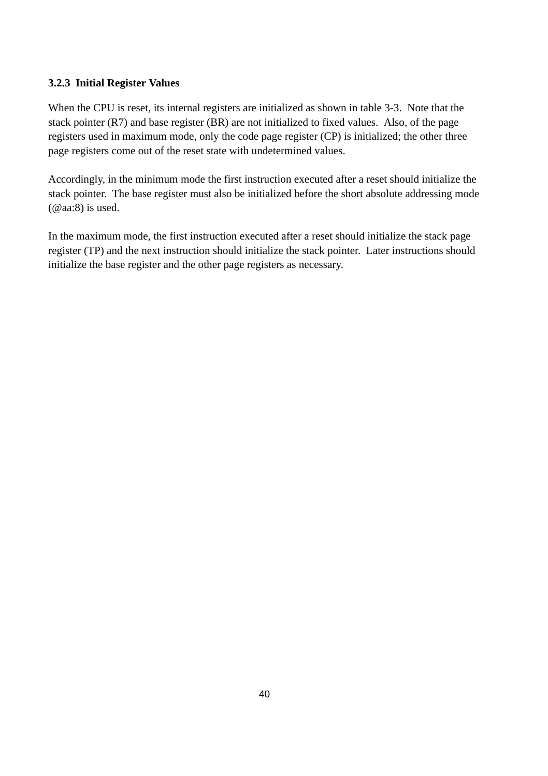#### **3.2.3 Initial Register Values**

When the CPU is reset, its internal registers are initialized as shown in table 3-3. Note that the stack pointer (R7) and base register (BR) are not initialized to fixed values. Also, of the page registers used in maximum mode, only the code page register (CP) is initialized; the other three page registers come out of the reset state with undetermined values.

Accordingly, in the minimum mode the first instruction executed after a reset should initialize the stack pointer. The base register must also be initialized before the short absolute addressing mode (@aa:8) is used.

In the maximum mode, the first instruction executed after a reset should initialize the stack page register (TP) and the next instruction should initialize the stack pointer. Later instructions should initialize the base register and the other page registers as necessary.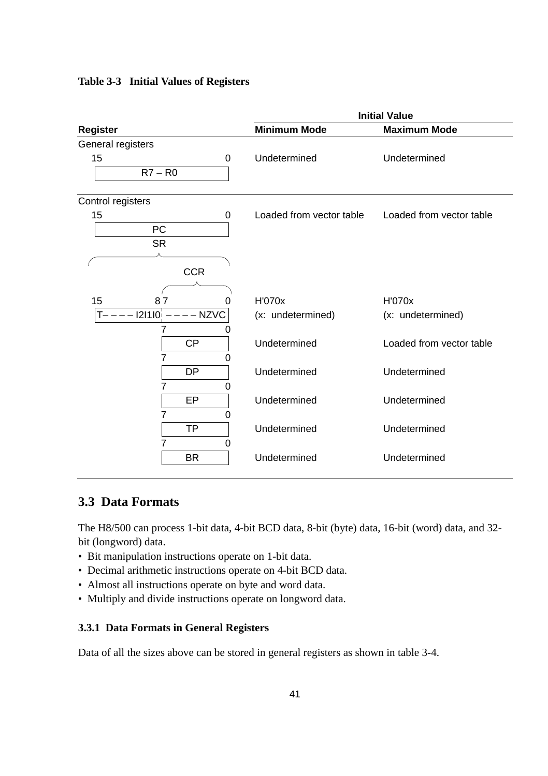### **Table 3-3 Initial Values of Registers**

|                          |                          | <b>Initial Value</b>     |
|--------------------------|--------------------------|--------------------------|
| <b>Register</b>          | <b>Minimum Mode</b>      | <b>Maximum Mode</b>      |
| General registers        |                          |                          |
| 15<br>0                  | Undetermined             | Undetermined             |
| $R7 - R0$                |                          |                          |
| Control registers        |                          |                          |
| 15<br>0                  | Loaded from vector table | Loaded from vector table |
| PC                       |                          |                          |
| <b>SR</b>                |                          |                          |
|                          |                          |                          |
| <b>CCR</b>               |                          |                          |
|                          |                          |                          |
| 15<br>87<br>0            | H'070x                   | H'070x                   |
| $--- 121110$ :<br>- NZVC | (x: undetermined)        | (x: undetermined)        |
| 7<br>0                   |                          |                          |
| <b>CP</b>                | Undetermined             | Loaded from vector table |
| 7<br>0                   |                          |                          |
| <b>DP</b>                | Undetermined             | Undetermined             |
| 0                        |                          |                          |
| EP                       | Undetermined             | Undetermined             |
| 0                        |                          |                          |
| <b>TP</b>                | Undetermined             | Undetermined             |
| 0                        |                          |                          |
| <b>BR</b>                | Undetermined             | Undetermined             |

# **3.3 Data Formats**

The H8/500 can process 1-bit data, 4-bit BCD data, 8-bit (byte) data, 16-bit (word) data, and 32 bit (longword) data.

- Bit manipulation instructions operate on 1-bit data.
- Decimal arithmetic instructions operate on 4-bit BCD data.
- Almost all instructions operate on byte and word data.
- Multiply and divide instructions operate on longword data.

#### **3.3.1 Data Formats in General Registers**

Data of all the sizes above can be stored in general registers as shown in table 3-4.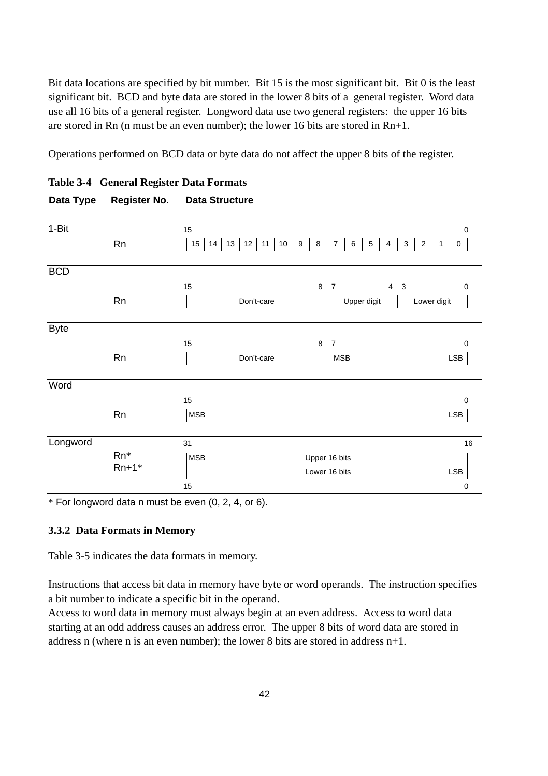Bit data locations are specified by bit number. Bit 15 is the most significant bit. Bit 0 is the least significant bit. BCD and byte data are stored in the lower 8 bits of a general register. Word data use all 16 bits of a general register. Longword data use two general registers: the upper 16 bits are stored in Rn (n must be an even number); the lower 16 bits are stored in  $Rn+1$ .

Operations performed on BCD data or byte data do not affect the upper 8 bits of the register.

| ສ              |                                                                                                                         |
|----------------|-------------------------------------------------------------------------------------------------------------------------|
|                |                                                                                                                         |
|                | 15<br>$\mathbf 0$                                                                                                       |
| Rn             | 13<br>15<br>14<br>12<br>11<br>10<br>9<br>8<br>$\overline{7}$<br>6<br>5<br>3<br>$\overline{2}$<br>4<br>$\mathbf{1}$<br>0 |
|                |                                                                                                                         |
|                |                                                                                                                         |
|                | 8<br>15<br>$\overline{7}$<br>$4 \quad 3$<br>0                                                                           |
| Rn             | Don't-care<br>Upper digit<br>Lower digit                                                                                |
|                |                                                                                                                         |
|                |                                                                                                                         |
|                | 15<br>8<br>$\overline{7}$<br>0                                                                                          |
| Rn             | Don't-care<br><b>LSB</b><br><b>MSB</b>                                                                                  |
|                |                                                                                                                         |
|                |                                                                                                                         |
|                | 15<br>0                                                                                                                 |
| Rn             | <b>MSB</b><br><b>LSB</b>                                                                                                |
|                |                                                                                                                         |
|                | 31<br>16                                                                                                                |
| Rn*<br>$Rn+1*$ | <b>MSB</b><br>Upper 16 bits                                                                                             |
|                | Lower 16 bits<br><b>LSB</b>                                                                                             |
|                | 15<br>$\mathbf 0$                                                                                                       |
|                |                                                                                                                         |

### **Table 3-4 General Register Data Formats Data Type Register No. Data Structure**

 $*$  For longword data n must be even  $(0, 2, 4, 0, 6)$ .

#### **3.3.2 Data Formats in Memory**

Table 3-5 indicates the data formats in memory.

Instructions that access bit data in memory have byte or word operands. The instruction specifies a bit number to indicate a specific bit in the operand.

Access to word data in memory must always begin at an even address. Access to word data starting at an odd address causes an address error. The upper 8 bits of word data are stored in address n (where n is an even number); the lower 8 bits are stored in address  $n+1$ .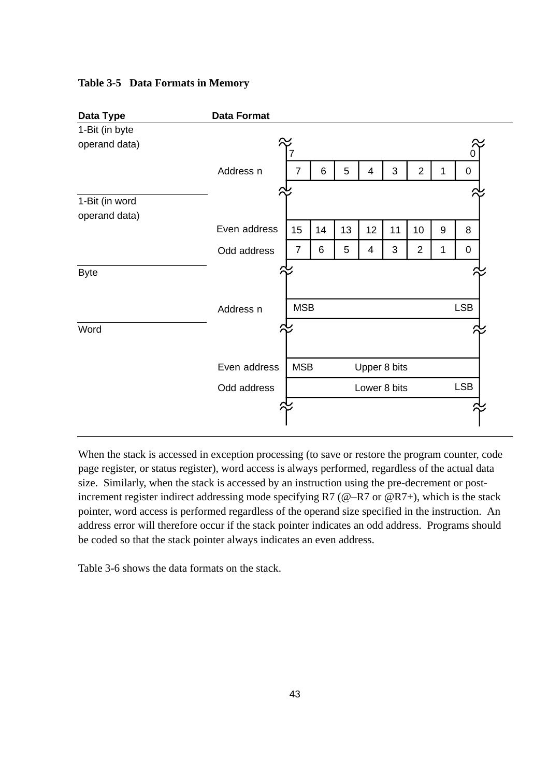#### **Table 3-5 Data Formats in Memory**



When the stack is accessed in exception processing (to save or restore the program counter, code page register, or status register), word access is always performed, regardless of the actual data size. Similarly, when the stack is accessed by an instruction using the pre-decrement or postincrement register indirect addressing mode specifying  $R7$  ( $@-R7$  or  $@R7+$ ), which is the stack pointer, word access is performed regardless of the operand size specified in the instruction. An address error will therefore occur if the stack pointer indicates an odd address. Programs should be coded so that the stack pointer always indicates an even address.

Table 3-6 shows the data formats on the stack.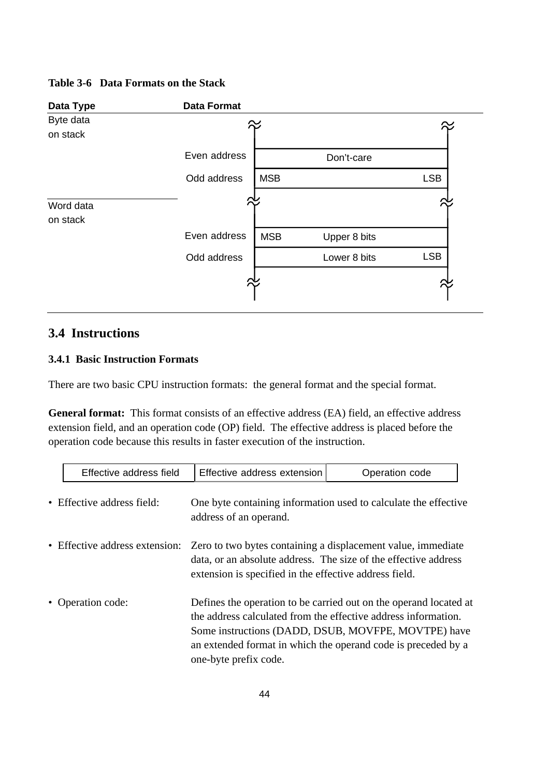#### **Table 3-6 Data Formats on the Stack**



# **3.4 Instructions**

### **3.4.1 Basic Instruction Formats**

There are two basic CPU instruction formats: the general format and the special format.

**General format:** This format consists of an effective address (EA) field, an effective address extension field, and an operation code (OP) field. The effective address is placed before the operation code because this results in faster execution of the instruction.

| Effective address field        | Effective address extension                                                                                                                                                               | Operation code                                                                                                                                                                            |
|--------------------------------|-------------------------------------------------------------------------------------------------------------------------------------------------------------------------------------------|-------------------------------------------------------------------------------------------------------------------------------------------------------------------------------------------|
| • Effective address field:     | address of an operand.                                                                                                                                                                    | One byte containing information used to calculate the effective                                                                                                                           |
| • Effective address extension: | Zero to two bytes containing a displacement value, immediate<br>data, or an absolute address. The size of the effective address<br>extension is specified in the effective address field. |                                                                                                                                                                                           |
| • Operation code:              | the address calculated from the effective address information.<br>one-byte prefix code.                                                                                                   | Defines the operation to be carried out on the operand located at<br>Some instructions (DADD, DSUB, MOVFPE, MOVTPE) have<br>an extended format in which the operand code is preceded by a |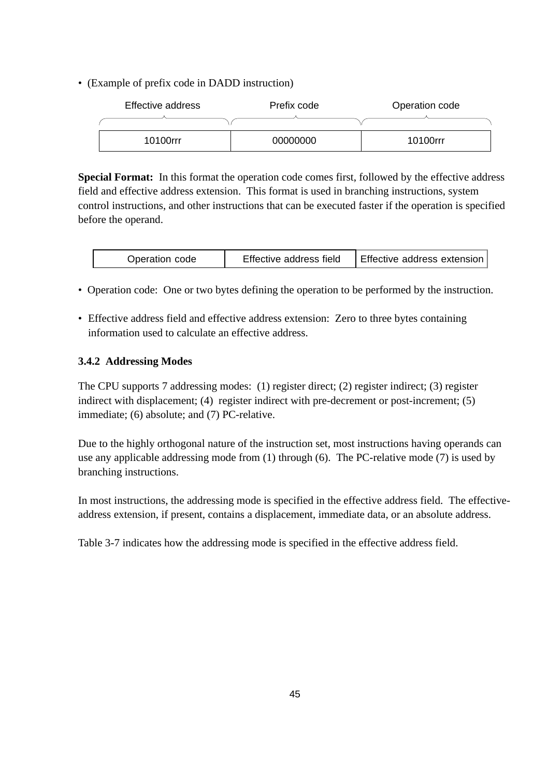• (Example of prefix code in DADD instruction)

| Effective address | Prefix code | Operation code |
|-------------------|-------------|----------------|
|                   |             |                |
| 10100rrr          | 00000000    | 10100rrr       |

**Special Format:** In this format the operation code comes first, followed by the effective address field and effective address extension. This format is used in branching instructions, system control instructions, and other instructions that can be executed faster if the operation is specified before the operand.

| Operation code | Effective address field | Effective address extension |
|----------------|-------------------------|-----------------------------|
|----------------|-------------------------|-----------------------------|

- Operation code: One or two bytes defining the operation to be performed by the instruction.
- Effective address field and effective address extension: Zero to three bytes containing information used to calculate an effective address.

### **3.4.2 Addressing Modes**

The CPU supports 7 addressing modes: (1) register direct; (2) register indirect; (3) register indirect with displacement; (4) register indirect with pre-decrement or post-increment; (5) immediate; (6) absolute; and (7) PC-relative.

Due to the highly orthogonal nature of the instruction set, most instructions having operands can use any applicable addressing mode from (1) through (6). The PC-relative mode (7) is used by branching instructions.

In most instructions, the addressing mode is specified in the effective address field. The effectiveaddress extension, if present, contains a displacement, immediate data, or an absolute address.

Table 3-7 indicates how the addressing mode is specified in the effective address field.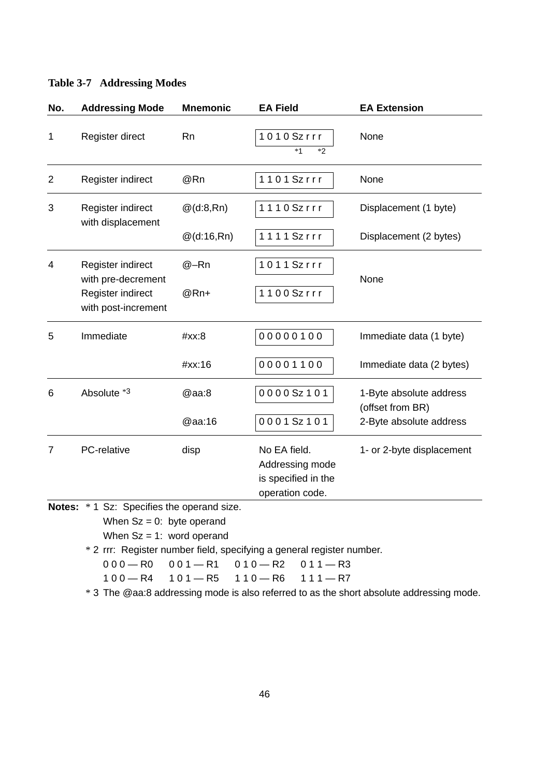| No. | <b>Addressing Mode</b>                   | <b>Mnemonic</b> | <b>EA Field</b>                                                           | <b>EA Extension</b>                         |
|-----|------------------------------------------|-----------------|---------------------------------------------------------------------------|---------------------------------------------|
| 1   | Register direct                          | Rn              | 1010Szrrr<br>$*1$<br>$*2$                                                 | None                                        |
| 2   | Register indirect                        | @Rn             | 1101Szrr                                                                  | None                                        |
| 3   | Register indirect<br>with displacement   | $@$ (d:8,Rn)    | 1110Szrrr                                                                 | Displacement (1 byte)                       |
|     |                                          | $@$ (d:16,Rn)   | $1111$ Szrrr                                                              | Displacement (2 bytes)                      |
| 4   | Register indirect<br>with pre-decrement  | @–Rn            | 1011Szrrr                                                                 | None                                        |
|     | Register indirect<br>with post-increment | $@Rn+$          | 1100Szrrr                                                                 |                                             |
| 5   | Immediate                                | #xx:8           | 00000100                                                                  | Immediate data (1 byte)                     |
|     |                                          | #xx:16          | 00001100                                                                  | Immediate data (2 bytes)                    |
| 6   | Absolute *3                              | @aa:8           | 0000Sz101                                                                 | 1-Byte absolute address<br>(offset from BR) |
|     |                                          | @aa:16          | 0001Sz101                                                                 | 2-Byte absolute address                     |
| 7   | PC-relative                              | disp            | No EA field.<br>Addressing mode<br>is specified in the<br>operation code. | 1- or 2-byte displacement                   |

#### **Table 3-7 Addressing Modes**

**Notes:** \* 1 Sz: Specifies the operand size.

When  $Sz = 0$ : byte operand

When  $Sz = 1$ : word operand

\* 2 rrr: Register number field, specifying a general register number.

 $000 - R0 001 - R1 010 - R2 011 - R3$ 

 $100 - R4$   $101 - R5$   $110 - R6$   $111 - R7$ 

\* 3 The @aa:8 addressing mode is also referred to as the short absolute addressing mode.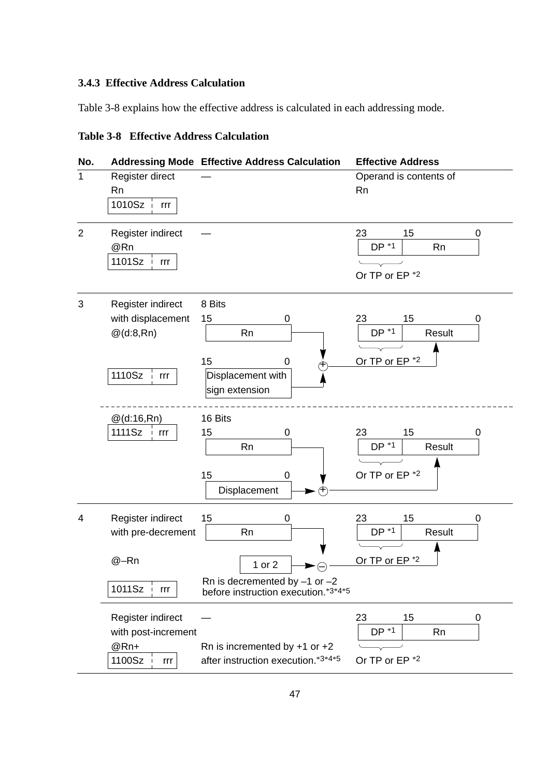# **3.4.3 Effective Address Calculation**

Table 3-8 explains how the effective address is calculated in each addressing mode.

# **Table 3-8 Effective Address Calculation**

| No.            |                                                                          | <b>Addressing Mode Effective Address Calculation</b>                                                     | <b>Effective Address</b>                                         |
|----------------|--------------------------------------------------------------------------|----------------------------------------------------------------------------------------------------------|------------------------------------------------------------------|
| 1              | Register direct<br><b>Rn</b><br>1010Sz  <br>rrr                          |                                                                                                          | Operand is contents of<br><b>Rn</b>                              |
| $\overline{2}$ | Register indirect<br>@Rn<br>1101Sz<br>rrr                                |                                                                                                          | 23<br>15<br>0<br>$DP * 1$<br>Rn<br>Or TP or EP *2                |
| 3              | Register indirect<br>with displacement<br>$@$ (d:8,Rn)<br>$1110Sz$ $irr$ | 8 Bits<br>15<br>0<br>Rn<br>15<br>0<br>Ŧ<br>Displacement with<br>sign extension                           | 23<br>15<br>0<br>$DP * 1$<br>Result<br>Or TP or EP <sup>*2</sup> |
|                | @(d:16,Rn)<br>1111Sz<br>rrr                                              | 16 Bits<br>15<br>0<br><b>Rn</b><br>15<br>0<br>Displacement<br>(IF)                                       | 23<br>15<br>0<br>$DP * 1$<br>Result<br>Or TP or EP *2            |
| 4              | Register indirect<br>with pre-decrement<br>@-Rn<br>1011Sz<br>rrr         | 15<br>0<br>Rn<br>1 or 2<br>F<br>Rn is decremented by $-1$ or $-2$<br>before instruction execution.*3*4*5 | 23<br>15<br>0<br>$DP * 1$<br>Result<br>Or TP or EP <sup>*2</sup> |
|                | Register indirect<br>with post-increment<br>@Rn+<br>1100Sz<br>rrr        | Rn is incremented by $+1$ or $+2$<br>after instruction execution.*3*4*5                                  | 23<br>15<br>0<br>DP *1<br><b>Rn</b><br>Or TP or EP *2            |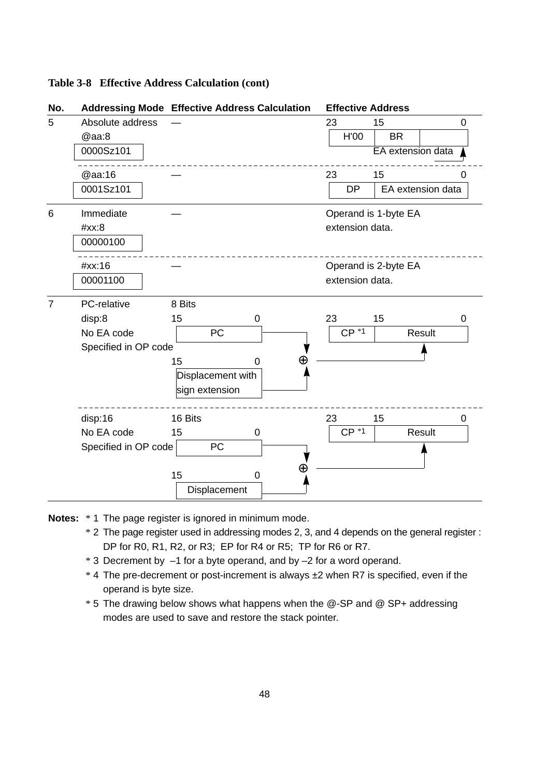#### **Table 3-8 Effective Address Calculation (cont)**

| No.                  |                      | <b>Addressing Mode Effective Address Calculation</b> | <b>Effective Address</b> |
|----------------------|----------------------|------------------------------------------------------|--------------------------|
| 5                    | Absolute address     |                                                      | 23<br>15<br>0            |
|                      | @aa:8                |                                                      | H'00<br><b>BR</b>        |
|                      | 0000Sz101            |                                                      | EA extension data        |
|                      | @aa:16               |                                                      | 23<br>15<br>0            |
|                      | 0001Sz101            |                                                      | DP<br>EA extension data  |
| 6                    | Immediate            |                                                      | Operand is 1-byte EA     |
|                      | #xx:8                |                                                      | extension data.          |
|                      | 00000100             |                                                      |                          |
|                      | #xx:16               |                                                      | Operand is 2-byte EA     |
|                      | 00001100             |                                                      | extension data.          |
| $\overline{7}$       | PC-relative          | 8 Bits                                               |                          |
|                      | disp:8               | 15<br>0                                              | 23<br>15<br>0            |
|                      | No EA code           | PC                                                   | $CP *1$<br>Result        |
| Specified in OP code |                      |                                                      |                          |
|                      |                      | 15<br>O                                              |                          |
|                      |                      | Displacement with                                    |                          |
|                      |                      | sign extension                                       |                          |
|                      | disp:16              | 16 Bits                                              | 23<br>15<br>0            |
|                      | No EA code           | 15<br>0                                              | $CP *1$<br>Result        |
|                      | Specified in OP code | PC                                                   |                          |
|                      |                      | Œ<br>15<br>0                                         |                          |
|                      |                      | Displacement                                         |                          |

**Notes:** \* 1 The page register is ignored in minimum mode.

- \* 2 The page register used in addressing modes 2, 3, and 4 depends on the general register : DP for R0, R1, R2, or R3; EP for R4 or R5; TP for R6 or R7.
- \* 3 Decrement by –1 for a byte operand, and by –2 for a word operand.
- \* 4 The pre-decrement or post-increment is always ±2 when R7 is specified, even if the operand is byte size.
- \* 5 The drawing below shows what happens when the @-SP and @ SP+ addressing modes are used to save and restore the stack pointer.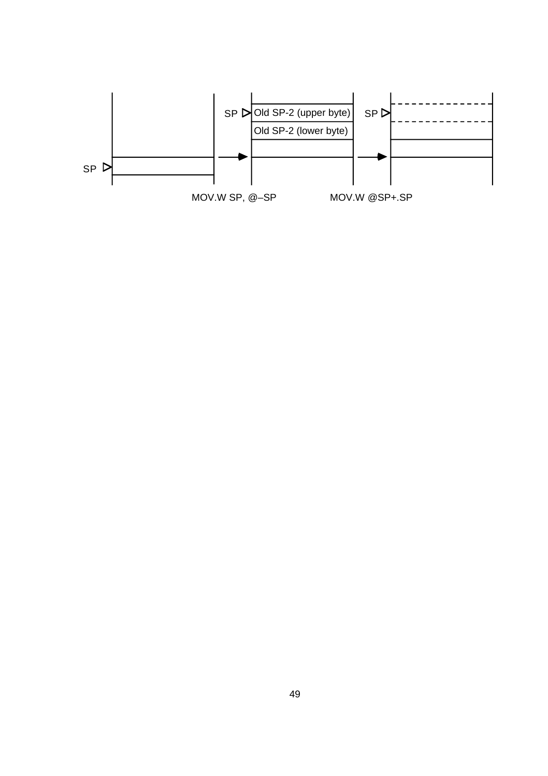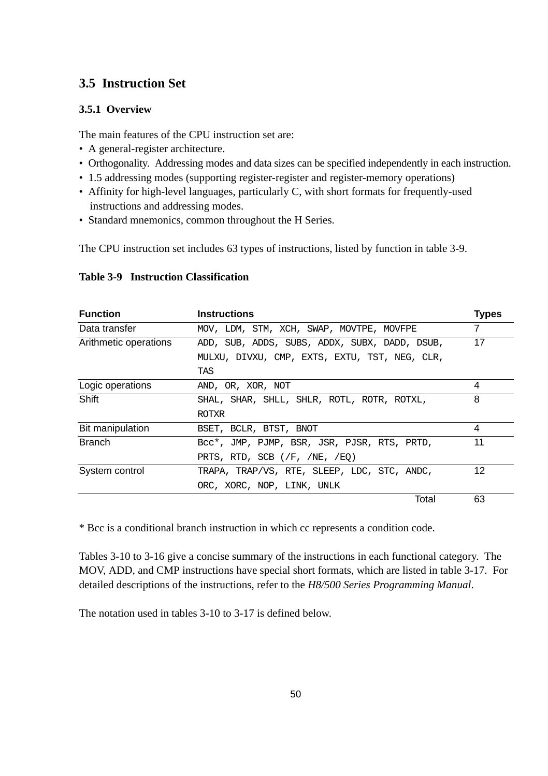# **3.5 Instruction Set**

# **3.5.1 Overview**

The main features of the CPU instruction set are:

- A general-register architecture.
- Orthogonality. Addressing modes and data sizes can be specified independently in each instruction.
- 1.5 addressing modes (supporting register-register and register-memory operations)
- Affinity for high-level languages, particularly C, with short formats for frequently-used instructions and addressing modes.
- Standard mnemonics, common throughout the H Series.

The CPU instruction set includes 63 types of instructions, listed by function in table 3-9.

| <b>Function</b>       | <b>Instructions</b>                           | <b>Types</b> |
|-----------------------|-----------------------------------------------|--------------|
| Data transfer         | MOV, LDM, STM, XCH, SWAP, MOVTPE, MOVFPE      | 7            |
| Arithmetic operations | ADD, SUB, ADDS, SUBS, ADDX, SUBX, DADD, DSUB, | 17           |
|                       | MULXU, DIVXU, CMP, EXTS, EXTU, TST, NEG, CLR, |              |
|                       | TAS                                           |              |
| Logic operations      | AND, OR, XOR, NOT                             | 4            |
| Shift                 | SHAL, SHAR, SHLL, SHLR, ROTL, ROTR, ROTXL,    | 8            |
|                       | <b>ROTXR</b>                                  |              |
| Bit manipulation      | BSET, BCLR, BTST, BNOT                        | 4            |
| <b>Branch</b>         | Bcc*, JMP, PJMP, BSR, JSR, PJSR, RTS, PRTD,   | 11           |
|                       | PRTS, RTD, SCB $//F, /NE, /EO)$               |              |
| System control        | TRAPA, TRAP/VS, RTE, SLEEP, LDC, STC, ANDC,   | 12           |
|                       | ORC, XORC, NOP, LINK, UNLK                    |              |
|                       | Total                                         | 63           |

#### **Table 3-9 Instruction Classification**

\* Bcc is a conditional branch instruction in which cc represents a condition code.

Tables 3-10 to 3-16 give a concise summary of the instructions in each functional category. The MOV, ADD, and CMP instructions have special short formats, which are listed in table 3-17. For detailed descriptions of the instructions, refer to the *H8/500 Series Programming Manual*.

The notation used in tables 3-10 to 3-17 is defined below.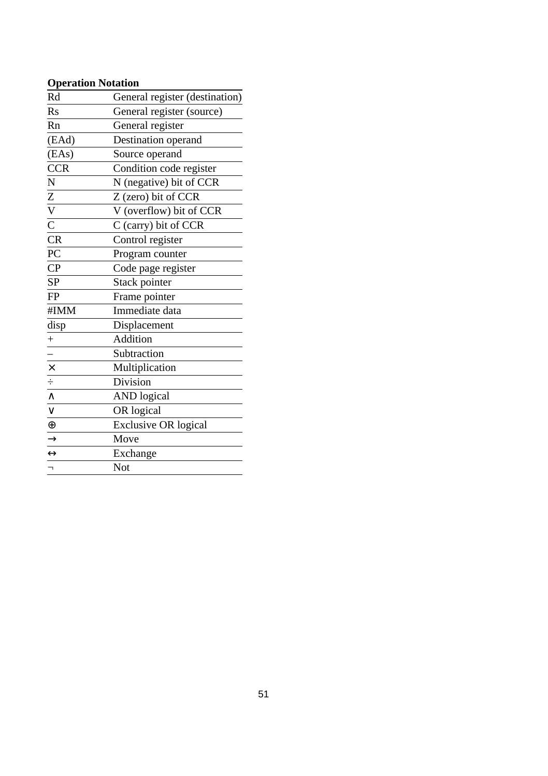# **Operation Notation**

| Rd                              | General register (destination) |
|---------------------------------|--------------------------------|
| $\rm Rs$                        | General register (source)      |
| Rn                              | General register               |
| (EAd)                           | Destination operand            |
| (EAs)                           | Source operand                 |
| <b>CCR</b>                      | Condition code register        |
| $\overline{N}$                  | N (negative) bit of CCR        |
|                                 | Z (zero) bit of CCR            |
| $\frac{Z}{V}$ $\frac{V}{C}$     | V (overflow) bit of CCR        |
|                                 | C (carry) bit of CCR           |
| $\overline{\text{CR}}$          | Control register               |
| PC                              | Program counter                |
| CP                              | Code page register             |
| SP                              | Stack pointer                  |
| <b>FP</b>                       | Frame pointer                  |
| #IMM                            | Immediate data                 |
| disp                            | Displacement                   |
| $\pm$                           | Addition                       |
|                                 | Subtraction                    |
|                                 | Multiplication                 |
|                                 | Division                       |
| $\frac{\mathsf{x}}{\mathsf{y}}$ | <b>AND</b> logical             |
|                                 | OR logical                     |
| $\overline{\oplus}$             | <b>Exclusive OR logical</b>    |
| $\frac{1}{\sqrt{1}}$            | Move                           |
|                                 | Exchange                       |
|                                 | Not                            |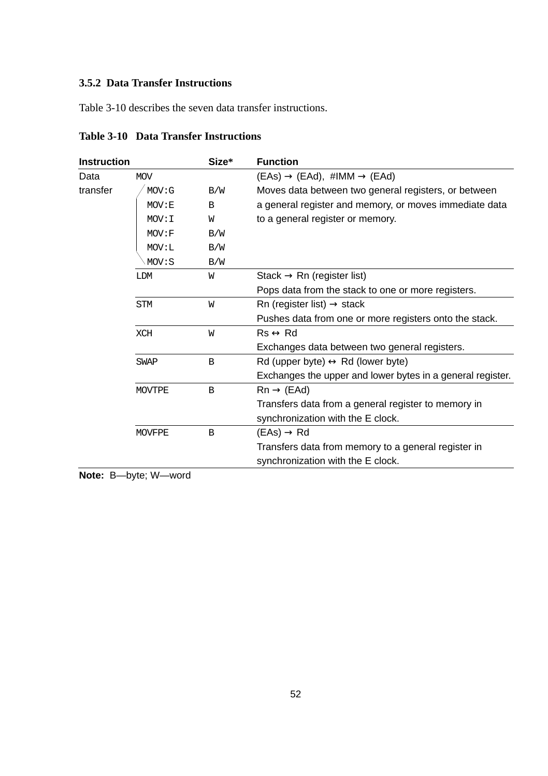### **3.5.2 Data Transfer Instructions**

Table 3-10 describes the seven data transfer instructions.

| <b>Instruction</b> |               | Size*                                       | <b>Function</b>                                            |
|--------------------|---------------|---------------------------------------------|------------------------------------------------------------|
| Data               | <b>MOV</b>    |                                             | $( EAs) \rightarrow (EAd), \#IMM \rightarrow (EAd)$        |
| transfer           | MOV: G        | B/W                                         | Moves data between two general registers, or between       |
|                    | MOV: E        | B                                           | a general register and memory, or moves immediate data     |
|                    | MOV: I        | W                                           | to a general register or memory.                           |
|                    | MOV : F       | B/W                                         |                                                            |
|                    | MOV: L        | B/W                                         |                                                            |
|                    | MOV: S        | B/W                                         |                                                            |
|                    | <b>LDM</b>    | W                                           | Stack $\rightarrow$ Rn (register list)                     |
|                    |               |                                             | Pops data from the stack to one or more registers.         |
|                    | <b>STM</b>    | Rn (register list) $\rightarrow$ stack<br>W |                                                            |
|                    |               |                                             | Pushes data from one or more registers onto the stack.     |
|                    | <b>XCH</b>    | W                                           | $Rs \leftrightarrow Rd$                                    |
|                    |               |                                             | Exchanges data between two general registers.              |
|                    | <b>SWAP</b>   | B                                           | Rd (upper byte) $\leftrightarrow$ Rd (lower byte)          |
|                    |               |                                             | Exchanges the upper and lower bytes in a general register. |
|                    | <b>MOVTPE</b> | B                                           | $Rn \rightarrow (EAd)$                                     |
|                    |               |                                             | Transfers data from a general register to memory in        |
|                    |               |                                             | synchronization with the E clock.                          |
|                    | <b>MOVFPE</b> | $\overline{B}$                              | $( EAs) \rightarrow Rd$                                    |
|                    |               |                                             | Transfers data from memory to a general register in        |
|                    |               |                                             | synchronization with the E clock.                          |

**Table 3-10 Data Transfer Instructions**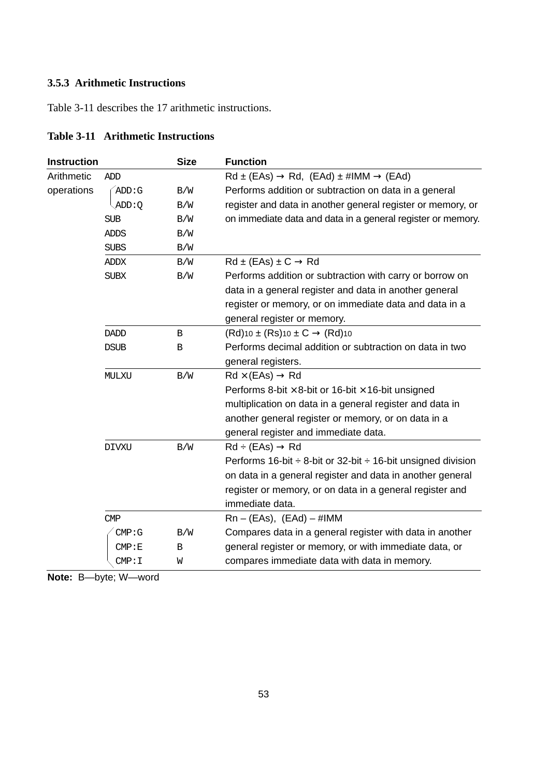### **3.5.3 Arithmetic Instructions**

Table 3-11 describes the 17 arithmetic instructions.

| <b>Instruction</b> |              | <b>Size</b> | <b>Function</b>                                                        |  |  |
|--------------------|--------------|-------------|------------------------------------------------------------------------|--|--|
| Arithmetic         | ADD          |             | $Rd \pm (EAs) \rightarrow Rd$ , $(EAd) \pm \#IMM \rightarrow (EAd)$    |  |  |
| operations         | ADD:G        | B/W         | Performs addition or subtraction on data in a general                  |  |  |
|                    | ADD:Q        | B/W         | register and data in another general register or memory, or            |  |  |
|                    | <b>SUB</b>   | B/W         | on immediate data and data in a general register or memory.            |  |  |
|                    | ADDS         | B/W         |                                                                        |  |  |
|                    | <b>SUBS</b>  | B/W         |                                                                        |  |  |
|                    | ADDX         | B/W         | $Rd \pm (EAs) \pm C \rightarrow Rd$                                    |  |  |
|                    | <b>SUBX</b>  | B/W         | Performs addition or subtraction with carry or borrow on               |  |  |
|                    |              |             | data in a general register and data in another general                 |  |  |
|                    |              |             | register or memory, or on immediate data and data in a                 |  |  |
|                    |              |             | general register or memory.                                            |  |  |
|                    | <b>DADD</b>  | B           | $(Rd)$ 10 ± $(Rs)$ 10 ± $C \rightarrow (Rd)$ 10                        |  |  |
|                    | <b>DSUB</b>  | B           | Performs decimal addition or subtraction on data in two                |  |  |
|                    |              |             | general registers.                                                     |  |  |
|                    | MULXU        | B/W         | $Rd \times (EAs) \rightarrow Rd$                                       |  |  |
|                    |              |             | Performs 8-bit $\times$ 8-bit or 16-bit $\times$ 16-bit unsigned       |  |  |
|                    |              |             | multiplication on data in a general register and data in               |  |  |
|                    |              |             | another general register or memory, or on data in a                    |  |  |
|                    |              |             | general register and immediate data.                                   |  |  |
|                    | <b>DIVXU</b> | B/W         | $Rd \div (EAs) \rightarrow Rd$                                         |  |  |
|                    |              |             | Performs 16-bit $\div$ 8-bit or 32-bit $\div$ 16-bit unsigned division |  |  |
|                    |              |             | on data in a general register and data in another general              |  |  |
|                    |              |             | register or memory, or on data in a general register and               |  |  |
|                    |              |             | immediate data.                                                        |  |  |
|                    | CMP          |             | $Rn - (EAs), (EAd) - #IMM$                                             |  |  |
|                    | CMP:G        | B/W         | Compares data in a general register with data in another               |  |  |
|                    | CMP : E      | B           | general register or memory, or with immediate data, or                 |  |  |
|                    | CMP: I       | W           | compares immediate data with data in memory.                           |  |  |

# **Table 3-11 Arithmetic Instructions**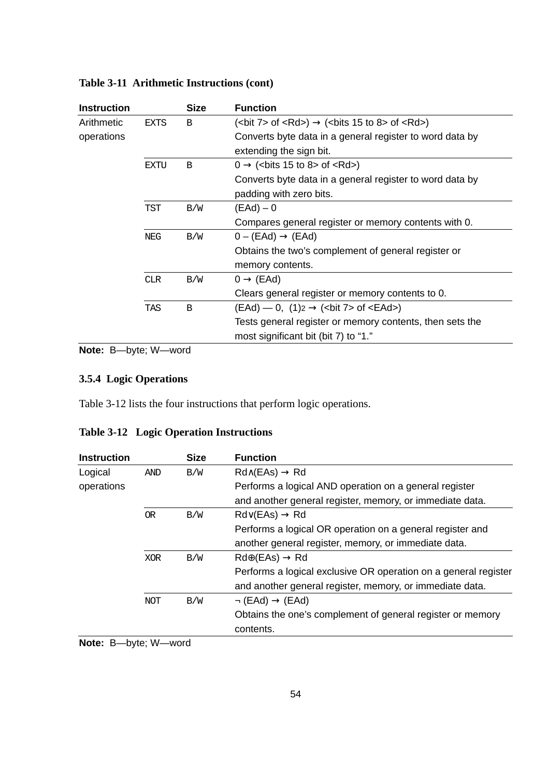| <b>Instruction</b> |                                                                                          | <b>Size</b> | <b>Function</b>                                                     |
|--------------------|------------------------------------------------------------------------------------------|-------------|---------------------------------------------------------------------|
| Arithmetic         | $(bit 7 > of ~<Rd) \rightarrow (bits 15 to 8 > of ~<Rd) \rightarrow$<br><b>EXTS</b><br>B |             |                                                                     |
| operations         |                                                                                          |             | Converts byte data in a general register to word data by            |
|                    |                                                                                          |             | extending the sign bit.                                             |
|                    | <b>EXTU</b>                                                                              | B           | $0 \rightarrow$ (<br>chits 15 to 8> of <rd>)</rd>                   |
|                    |                                                                                          |             | Converts byte data in a general register to word data by            |
|                    |                                                                                          |             | padding with zero bits.                                             |
|                    | <b>TST</b>                                                                               | B/W         | (EAd) – 0                                                           |
|                    |                                                                                          |             | Compares general register or memory contents with 0.                |
| B/W<br><b>NEG</b>  |                                                                                          |             | $0 - (EAd) \rightarrow (EAd)$                                       |
|                    |                                                                                          |             | Obtains the two's complement of general register or                 |
|                    |                                                                                          |             | memory contents.                                                    |
|                    | <b>CLR</b>                                                                               | B/W         | $0 \rightarrow (EAd)$                                               |
|                    |                                                                                          |             | Clears general register or memory contents to 0.                    |
|                    | <b>TAS</b>                                                                               | B           | $(EAd)$ — 0, $(1)_2 \rightarrow$ ( <bit 7=""> of <ead>)</ead></bit> |
|                    |                                                                                          |             | Tests general register or memory contents, then sets the            |
|                    |                                                                                          |             | most significant bit (bit 7) to "1."                                |

### **Table 3-11 Arithmetic Instructions (cont)**

**Note:** B—byte; W—word

### **3.5.4 Logic Operations**

Table 3-12 lists the four instructions that perform logic operations.

| <b>Instruction</b> |            | <b>Size</b> | <b>Function</b>                                                 |
|--------------------|------------|-------------|-----------------------------------------------------------------|
| Logical            | <b>AND</b> | B/W         | $Rd \wedge (EAs) \rightarrow Rd$                                |
| operations         |            |             | Performs a logical AND operation on a general register          |
|                    |            |             | and another general register, memory, or immediate data.        |
|                    | <b>OR</b>  | B/W         | $Rd\vee$ (EAs) $\rightarrow$ Rd                                 |
|                    |            |             | Performs a logical OR operation on a general register and       |
|                    |            |             | another general register, memory, or immediate data.            |
|                    | <b>XOR</b> | B/W         | $Rd\oplus$ (EAs) $\rightarrow$ Rd                               |
|                    |            |             | Performs a logical exclusive OR operation on a general register |
|                    |            |             | and another general register, memory, or immediate data.        |
|                    | <b>NOT</b> | B/W         | $\neg$ (EAd) $\rightarrow$ (EAd)                                |
|                    |            |             | Obtains the one's complement of general register or memory      |
|                    |            |             | contents.                                                       |
| .                  |            |             |                                                                 |

# **Table 3-12 Logic Operation Instructions**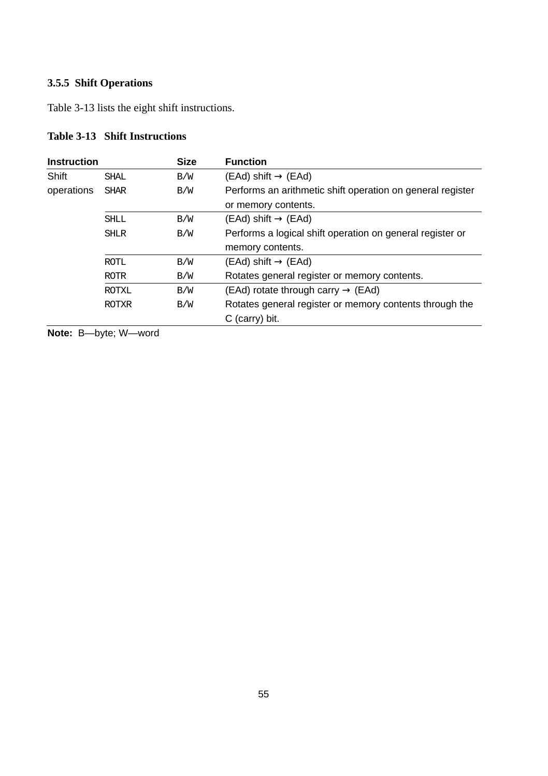### **3.5.5 Shift Operations**

Table 3-13 lists the eight shift instructions.

# **Table 3-13 Shift Instructions**

| <b>Instruction</b>                                      |              | <b>Size</b> | <b>Function</b>                                            |
|---------------------------------------------------------|--------------|-------------|------------------------------------------------------------|
| Shift                                                   | <b>SHAL</b>  | B/W         | $(EAd)$ shift $\rightarrow$ (EAd)                          |
| operations                                              | <b>SHAR</b>  | B/W         | Performs an arithmetic shift operation on general register |
| or memory contents.                                     |              |             |                                                            |
| $(EAd)$ shift $\rightarrow$ (EAd)<br>B/W<br><b>SHLL</b> |              |             |                                                            |
| B/W<br><b>SHLR</b>                                      |              |             | Performs a logical shift operation on general register or  |
|                                                         |              |             | memory contents.                                           |
|                                                         | <b>ROTL</b>  | B/W         | $(EAd)$ shift $\rightarrow$ (EAd)                          |
|                                                         | <b>ROTR</b>  | B/W         | Rotates general register or memory contents.               |
|                                                         | <b>ROTXL</b> | B/W         | (EAd) rotate through carry $\rightarrow$ (EAd)             |
|                                                         | <b>ROTXR</b> | B/W         | Rotates general register or memory contents through the    |
|                                                         |              |             | C (carry) bit.                                             |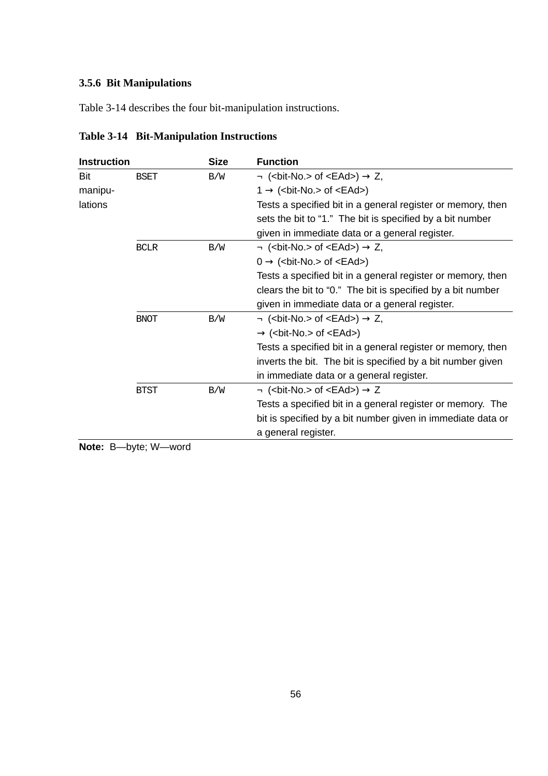### **3.5.6 Bit Manipulations**

Table 3-14 describes the four bit-manipulation instructions.

| <b>Instruction</b><br><b>Size</b> |             |     | <b>Function</b>                                                          |
|-----------------------------------|-------------|-----|--------------------------------------------------------------------------|
| Bit                               | <b>BSET</b> | B/W | $\neg$ ( <bit-no.> of <ead>) <math>\rightarrow</math> Z,</ead></bit-no.> |
| manipu-                           |             |     | $1 \rightarrow$ (<br>cbit-No.> of <ead>)</ead>                           |
| lations                           |             |     | Tests a specified bit in a general register or memory, then              |
|                                   |             |     | sets the bit to "1." The bit is specified by a bit number                |
|                                   |             |     | given in immediate data or a general register.                           |
|                                   | <b>BCLR</b> | B/W | $\neg$ ( <bit-no.> of <ead>) <math>\rightarrow</math> Z,</ead></bit-no.> |
|                                   |             |     | $0 \rightarrow$ (<br>cbit-No.> of <ead>)</ead>                           |
|                                   |             |     | Tests a specified bit in a general register or memory, then              |
|                                   |             |     | clears the bit to "0." The bit is specified by a bit number              |
|                                   |             |     | given in immediate data or a general register.                           |
|                                   | <b>BNOT</b> | B/W | $\neg$ ( <bit-no.> of <ead>) <math>\rightarrow</math> Z,</ead></bit-no.> |
|                                   |             |     | $\rightarrow$ ( <bit-no.> of <ead>)</ead></bit-no.>                      |
|                                   |             |     | Tests a specified bit in a general register or memory, then              |
|                                   |             |     | inverts the bit. The bit is specified by a bit number given              |
|                                   |             |     | in immediate data or a general register.                                 |
|                                   | <b>BTST</b> | B/W | $\neg$ ( <bit-no.> of <ead>) <math>\rightarrow</math> Z</ead></bit-no.>  |
|                                   |             |     | Tests a specified bit in a general register or memory. The               |
|                                   |             |     | bit is specified by a bit number given in immediate data or              |
|                                   |             |     | a general register.                                                      |

# **Table 3-14 Bit-Manipulation Instructions**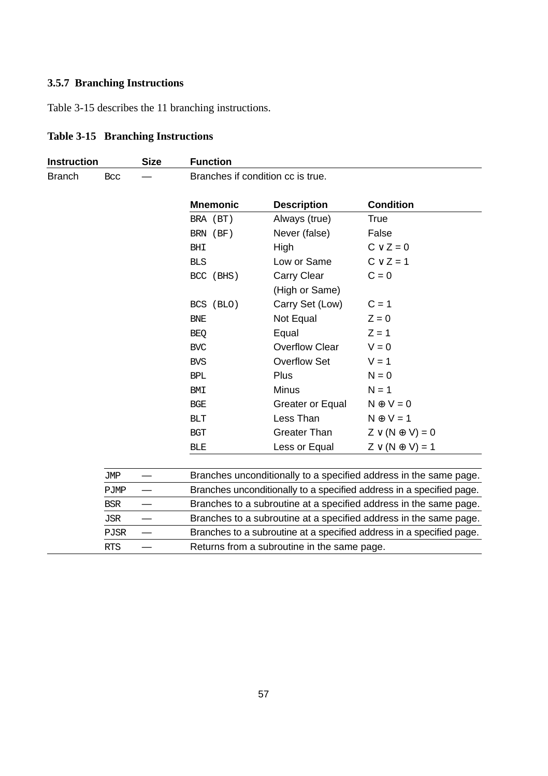### **3.5.7 Branching Instructions**

Table 3-15 describes the 11 branching instructions.

| <b>Instruction</b> |             | <b>Size</b> | <b>Function</b> |                                             |                                                                      |  |  |
|--------------------|-------------|-------------|-----------------|---------------------------------------------|----------------------------------------------------------------------|--|--|
| <b>Branch</b>      | Bcc         |             |                 | Branches if condition cc is true.           |                                                                      |  |  |
|                    |             |             | <b>Mnemonic</b> | <b>Description</b>                          | <b>Condition</b>                                                     |  |  |
|                    |             |             | BRA (BT)        | Always (true)                               | True                                                                 |  |  |
|                    |             |             | BRN (BF)        | Never (false)                               | False                                                                |  |  |
|                    |             |             | <b>BHI</b>      | High                                        | $C \vee Z = 0$                                                       |  |  |
|                    |             |             | <b>BLS</b>      | Low or Same                                 | $C \vee Z = 1$                                                       |  |  |
|                    |             |             | BCC (BHS)       | Carry Clear                                 | $C = 0$                                                              |  |  |
|                    |             |             |                 | (High or Same)                              |                                                                      |  |  |
|                    |             |             | BCS (BLO)       | Carry Set (Low)                             | $C = 1$                                                              |  |  |
|                    |             |             | <b>BNE</b>      | Not Equal                                   | $Z = 0$                                                              |  |  |
|                    |             |             | <b>BEQ</b>      | Equal                                       | $Z = 1$                                                              |  |  |
|                    |             |             | <b>BVC</b>      | <b>Overflow Clear</b>                       | $V = 0$                                                              |  |  |
|                    |             |             | <b>BVS</b>      | Overflow Set                                | $V = 1$                                                              |  |  |
|                    |             |             | <b>BPL</b>      | Plus                                        | $N = 0$                                                              |  |  |
|                    |             |             | BMI             | Minus                                       | $N = 1$                                                              |  |  |
|                    |             |             | BGE             | Greater or Equal                            | $N \oplus V = 0$                                                     |  |  |
|                    |             |             | BLT             | Less Than                                   | $N \oplus V = 1$                                                     |  |  |
|                    |             |             | <b>BGT</b>      | Greater Than                                | $Z \vee (N \oplus V) = 0$                                            |  |  |
|                    |             |             | <b>BLE</b>      | Less or Equal                               | $Z \vee (N \oplus V) = 1$                                            |  |  |
|                    |             |             |                 |                                             |                                                                      |  |  |
|                    | <b>JMP</b>  |             |                 |                                             | Branches unconditionally to a specified address in the same page.    |  |  |
|                    | PJMP        |             |                 |                                             | Branches unconditionally to a specified address in a specified page. |  |  |
|                    | <b>BSR</b>  |             |                 |                                             | Branches to a subroutine at a specified address in the same page.    |  |  |
|                    | <b>JSR</b>  |             |                 |                                             | Branches to a subroutine at a specified address in the same page.    |  |  |
|                    | <b>PJSR</b> |             |                 |                                             | Branches to a subroutine at a specified address in a specified page. |  |  |
|                    | <b>RTS</b>  |             |                 | Returns from a subroutine in the same page. |                                                                      |  |  |

# **Table 3-15 Branching Instructions**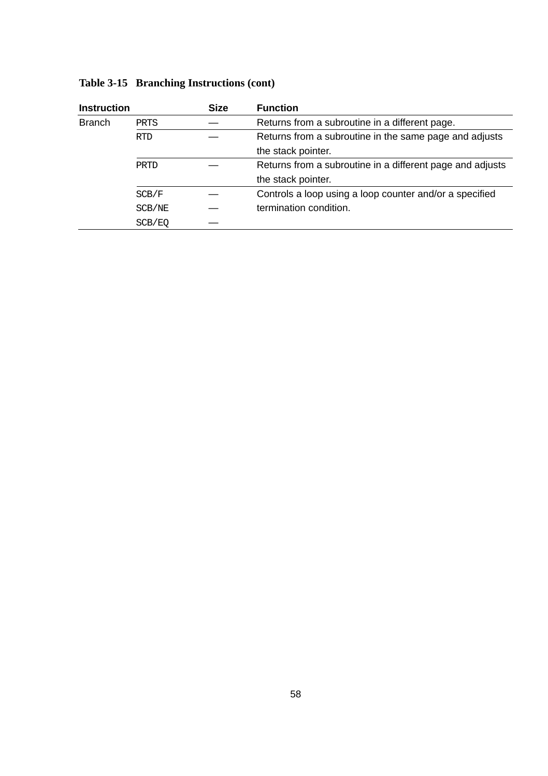| <b>Instruction</b> |            | <b>Size</b> | <b>Function</b>                                           |
|--------------------|------------|-------------|-----------------------------------------------------------|
| <b>Branch</b>      | PRTS       |             | Returns from a subroutine in a different page.            |
|                    | <b>RTD</b> |             | Returns from a subroutine in the same page and adjusts    |
|                    |            |             | the stack pointer.                                        |
|                    | PRTD       |             | Returns from a subroutine in a different page and adjusts |
|                    |            |             | the stack pointer.                                        |
|                    | SCB/F      |             | Controls a loop using a loop counter and/or a specified   |
|                    | SCB/NE     |             | termination condition.                                    |
|                    | SCB/EO     |             |                                                           |

# **Table 3-15 Branching Instructions (cont)**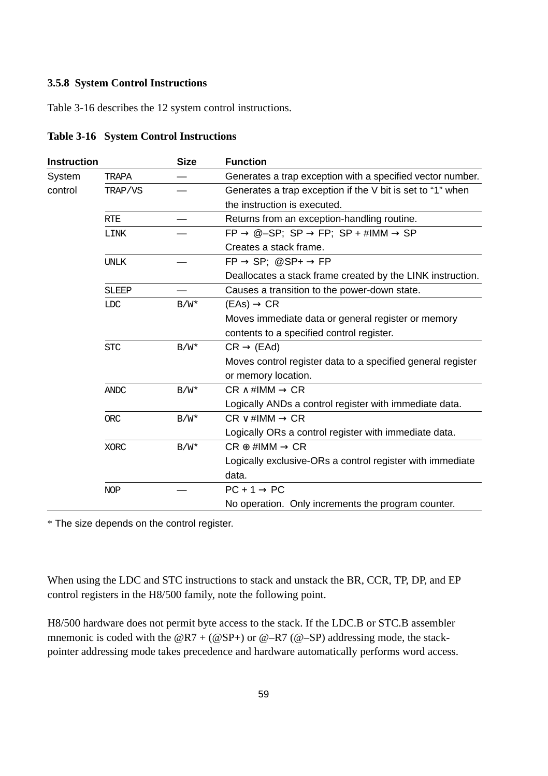#### **3.5.8 System Control Instructions**

Table 3-16 describes the 12 system control instructions.

| Instruction                                                  |             | <b>Size</b> | <b>Function</b>                                                                          |
|--------------------------------------------------------------|-------------|-------------|------------------------------------------------------------------------------------------|
| System                                                       | TRAPA       |             | Generates a trap exception with a specified vector number.                               |
| control                                                      | TRAP/VS     |             | Generates a trap exception if the V bit is set to "1" when                               |
|                                                              |             |             | the instruction is executed.                                                             |
|                                                              | <b>RTE</b>  |             | Returns from an exception-handling routine.                                              |
|                                                              | <b>LINK</b> |             | $FP \rightarrow \textcircled{a-SP}; SP \rightarrow FP; SP + \text{\#IMM} \rightarrow SP$ |
|                                                              |             |             | Creates a stack frame.                                                                   |
|                                                              | <b>UNLK</b> |             | $FP \rightarrow SP$ ; @SP+ $\rightarrow FP$                                              |
|                                                              |             |             | Deallocates a stack frame created by the LINK instruction.                               |
| Causes a transition to the power-down state.<br><b>SLEEP</b> |             |             |                                                                                          |
| $(EAs) \rightarrow CR$<br><b>LDC</b><br>$B/W^*$              |             |             |                                                                                          |
| <b>STC</b><br>$B/W^*$                                        |             |             | Moves immediate data or general register or memory                                       |
|                                                              |             |             | contents to a specified control register.                                                |
|                                                              |             |             | $CR \rightarrow (EAd)$                                                                   |
|                                                              |             |             | Moves control register data to a specified general register                              |
|                                                              |             |             | or memory location.                                                                      |
|                                                              | <b>ANDC</b> | $B/W^*$     | $CR \wedge \#IMM \rightarrow CR$                                                         |
|                                                              |             |             | Logically ANDs a control register with immediate data.                                   |
|                                                              | <b>ORC</b>  | $B/W^*$     | $CR \vee \#IMM \rightarrow CR$                                                           |
|                                                              |             |             | Logically ORs a control register with immediate data.                                    |
|                                                              | <b>XORC</b> | $B/W^*$     | $CR \oplus \#IMM \rightarrow CR$                                                         |
|                                                              |             |             | Logically exclusive-ORs a control register with immediate                                |
|                                                              |             |             | data.                                                                                    |
|                                                              | <b>NOP</b>  |             | $PC + 1 \rightarrow PC$                                                                  |
|                                                              |             |             | No operation. Only increments the program counter.                                       |

**Table 3-16 System Control Instructions**

\* The size depends on the control register.

When using the LDC and STC instructions to stack and unstack the BR, CCR, TP, DP, and EP control registers in the H8/500 family, note the following point.

H8/500 hardware does not permit byte access to the stack. If the LDC.B or STC.B assembler mnemonic is coded with the  $@R7 + (@SP+)$  or  $@-R7 (@-SP)$  addressing mode, the stackpointer addressing mode takes precedence and hardware automatically performs word access.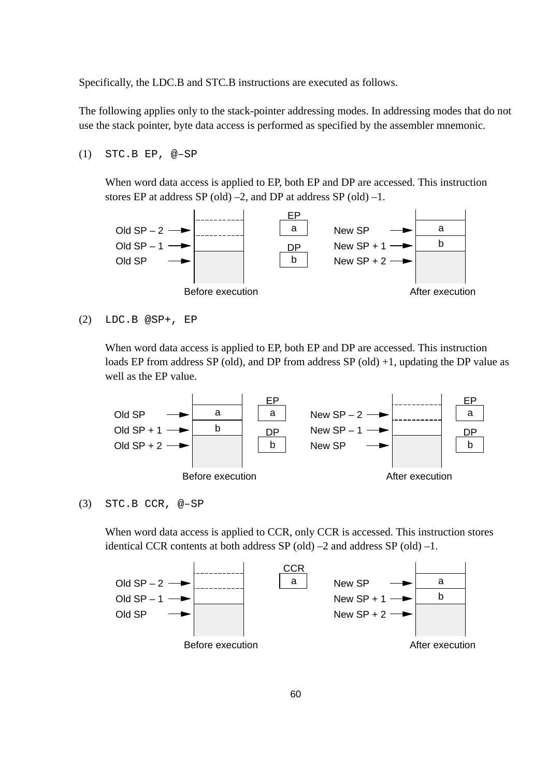Specifically, the LDC.B and STC.B instructions are executed as follows.

The following applies only to the stack-pointer addressing modes. In addressing modes that do not use the stack pointer, byte data access is performed as specified by the assembler mnemonic.

(1) STC.B EP, @–SP

When word data access is applied to EP, both EP and DP are accessed. This instruction stores EP at address SP (old)  $-2$ , and DP at address SP (old)  $-1$ .



```
(2) LDC.B @SP+, EP
```
When word data access is applied to EP, both EP and DP are accessed. This instruction loads EP from address SP (old), and DP from address SP (old) +1, updating the DP value as well as the EP value.



(3) STC.B CCR, @–SP

When word data access is applied to CCR, only CCR is accessed. This instruction stores identical CCR contents at both address  $SP(old) -2$  and address  $SP(old) -1$ .

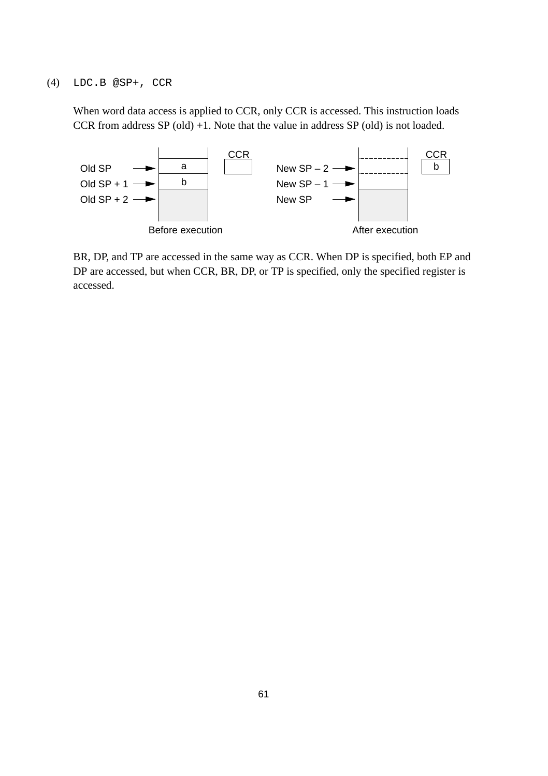When word data access is applied to CCR, only CCR is accessed. This instruction loads CCR from address SP (old) +1. Note that the value in address SP (old) is not loaded.



BR, DP, and TP are accessed in the same way as CCR. When DP is specified, both EP and DP are accessed, but when CCR, BR, DP, or TP is specified, only the specified register is accessed.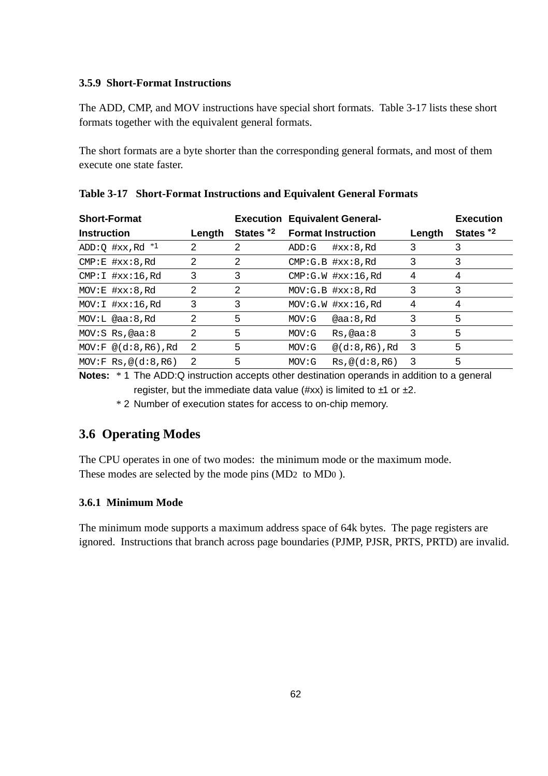#### **3.5.9 Short-Format Instructions**

The ADD, CMP, and MOV instructions have special short formats. Table 3-17 lists these short formats together with the equivalent general formats.

The short formats are a byte shorter than the corresponding general formats, and most of them execute one state faster.

| <b>Short-Format</b><br><b>Instruction</b> | Length | States *2 | <b>Execution Equivalent General-</b><br><b>Format Instruction</b> | Length | <b>Execution</b><br>States *2 |
|-------------------------------------------|--------|-----------|-------------------------------------------------------------------|--------|-------------------------------|
| ADD: $Q$ #xx, Rd $*1$                     | 2      | 2         | $\#xx:8$ , Rd<br>ADD:G                                            | 3      | 3                             |
| CMP: E #xx:8, Rd                          | 2      | 2         | CMP: G.B. #xx: 8.Rd                                               | 3      | 3                             |
| $CMP:I$ # $xx:16$ , Rd                    | 3      | 3         | $CMP:G.W$ # $xx:16$ , Rd                                          | 4      | 4                             |
| MOV: E #xx: 8, Rd                         | 2      | 2         | $MOV: G.B$ $#xx:8, Rd$                                            | 3      | 3                             |
| MOV:I #xx:16,Rd                           | 3      | 3         | MOV: G.W #xx:16.Rd                                                | 4      | 4                             |
| MOV: L @aa:8, Rd                          | 2      | 5         | @aa:8,Rd<br>MOV: G                                                | 3      | 5                             |
| $MOV: S$ Rs, @aa: $8$                     | 2      | 5         | MOV: G<br>Rs, @aa:8                                               | 3      | 5                             |
| $MOV:F @ (d:8, R6)$ , Rd                  | 2      | 5         | $@$ $(d:8$ , R6), Rd<br>MOV: G                                    | 3      | 5                             |
| MOV: FRS, @ (d:8, R6)                     | 2      | 5         | Rs. @ (d:8.R6)<br>MOV: G                                          | 3      | 5                             |

| Table 3-17 Short-Format Instructions and Equivalent General Formats |  |  |
|---------------------------------------------------------------------|--|--|
|                                                                     |  |  |

**Notes:** \* 1 The ADD:Q instruction accepts other destination operands in addition to a general register, but the immediate data value (#xx) is limited to  $\pm 1$  or  $\pm 2$ .

\* 2 Number of execution states for access to on-chip memory.

# **3.6 Operating Modes**

The CPU operates in one of two modes: the minimum mode or the maximum mode. These modes are selected by the mode pins (MD2 to MD0 ).

#### **3.6.1 Minimum Mode**

The minimum mode supports a maximum address space of 64k bytes. The page registers are ignored. Instructions that branch across page boundaries (PJMP, PJSR, PRTS, PRTD) are invalid.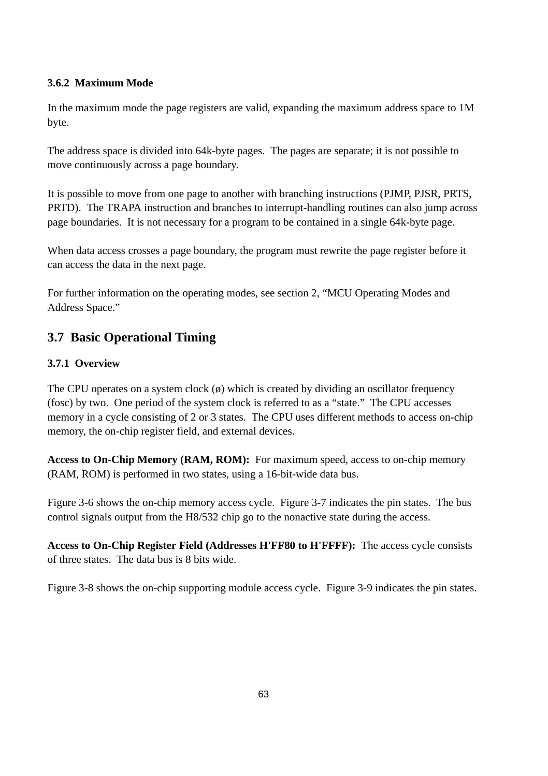#### **3.6.2 Maximum Mode**

In the maximum mode the page registers are valid, expanding the maximum address space to 1M byte.

The address space is divided into 64k-byte pages. The pages are separate; it is not possible to move continuously across a page boundary.

It is possible to move from one page to another with branching instructions (PJMP, PJSR, PRTS, PRTD). The TRAPA instruction and branches to interrupt-handling routines can also jump across page boundaries. It is not necessary for a program to be contained in a single 64k-byte page.

When data access crosses a page boundary, the program must rewrite the page register before it can access the data in the next page.

For further information on the operating modes, see section 2, "MCU Operating Modes and Address Space."

# **3.7 Basic Operational Timing**

### **3.7.1 Overview**

The CPU operates on a system clock  $(\emptyset)$  which is created by dividing an oscillator frequency (fosc) by two. One period of the system clock is referred to as a "state." The CPU accesses memory in a cycle consisting of 2 or 3 states. The CPU uses different methods to access on-chip memory, the on-chip register field, and external devices.

**Access to On-Chip Memory (RAM, ROM):** For maximum speed, access to on-chip memory (RAM, ROM) is performed in two states, using a 16-bit-wide data bus.

Figure 3-6 shows the on-chip memory access cycle. Figure 3-7 indicates the pin states. The bus control signals output from the H8/532 chip go to the nonactive state during the access.

**Access to On-Chip Register Field (Addresses H'FF80 to H'FFFF):** The access cycle consists of three states. The data bus is 8 bits wide.

Figure 3-8 shows the on-chip supporting module access cycle. Figure 3-9 indicates the pin states.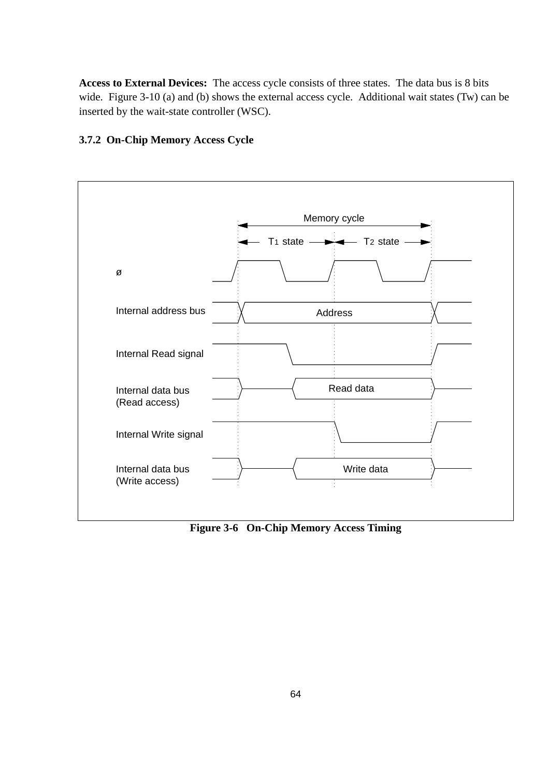**Access to External Devices:** The access cycle consists of three states. The data bus is 8 bits wide. Figure 3-10 (a) and (b) shows the external access cycle. Additional wait states (Tw) can be inserted by the wait-state controller (WSC).

#### **3.7.2 On-Chip Memory Access Cycle**



**Figure 3-6 On-Chip Memory Access Timing**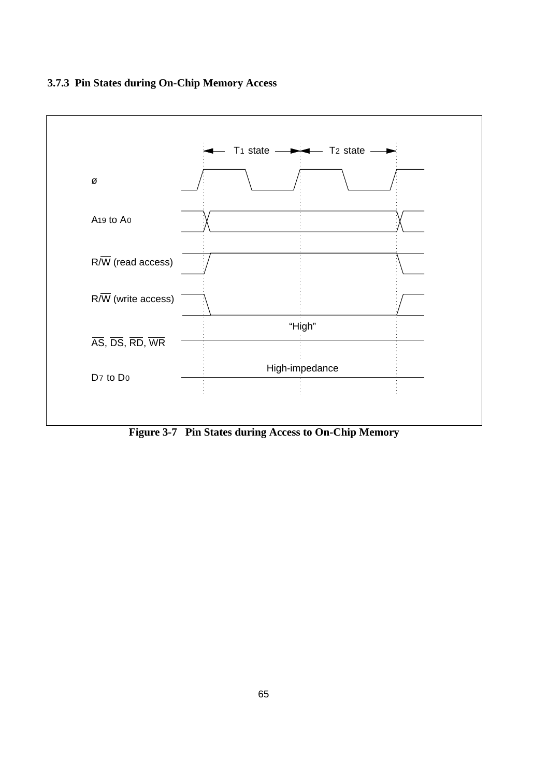

**Figure 3-7 Pin States during Access to On-Chip Memory**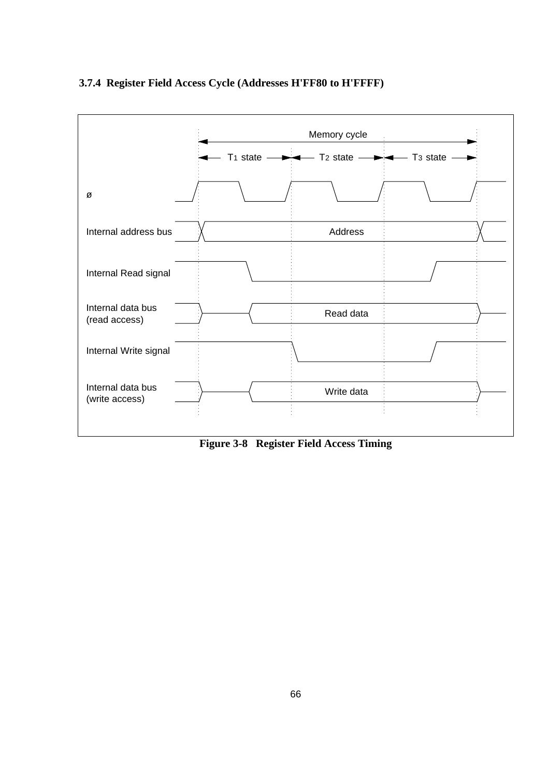### **3.7.4 Register Field Access Cycle (Addresses H'FF80 to H'FFFF)**



**Figure 3-8 Register Field Access Timing**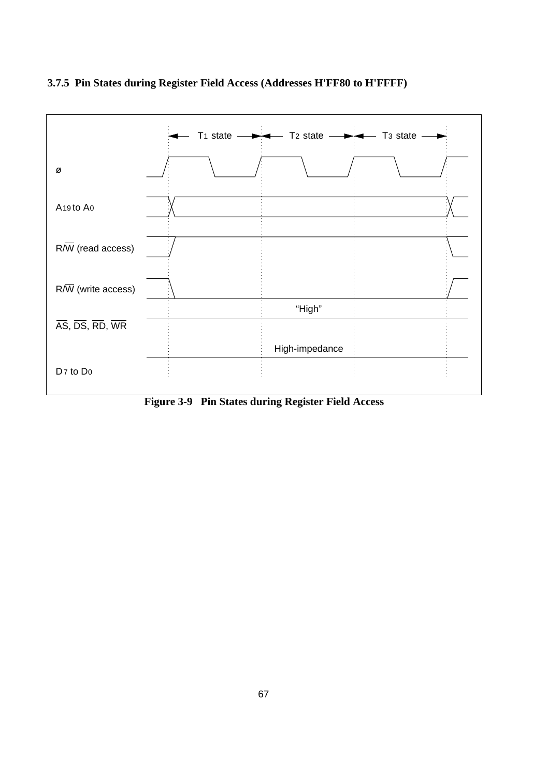

### **3.7.5 Pin States during Register Field Access (Addresses H'FF80 to H'FFFF)**

**Figure 3-9 Pin States during Register Field Access**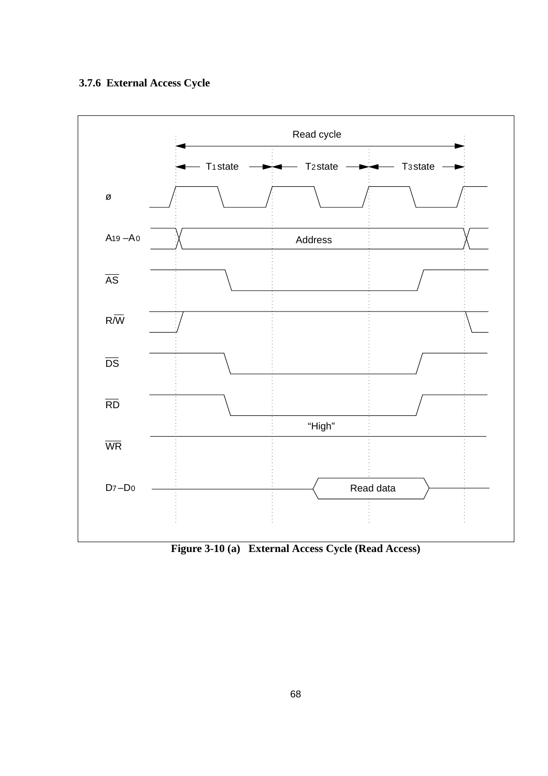

**Figure 3-10 (a) External Access Cycle (Read Access)**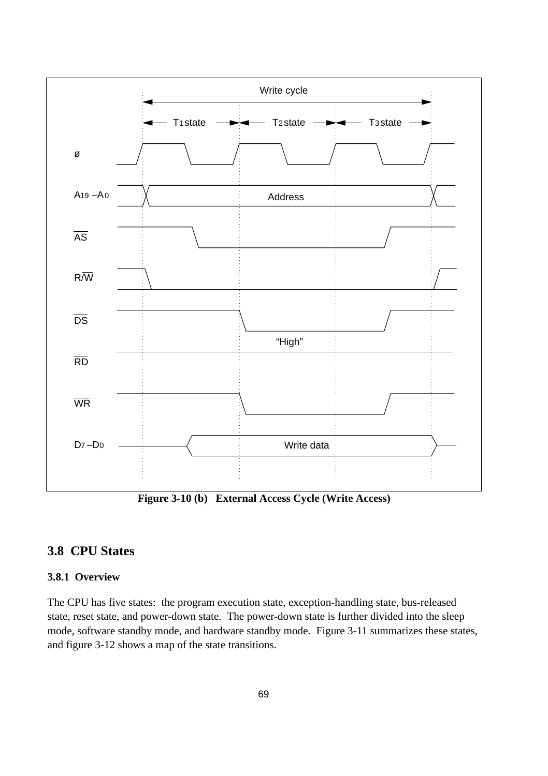

**Figure 3-10 (b) External Access Cycle (Write Access)**

# **3.8 CPU States**

#### **3.8.1 Overview**

The CPU has five states: the program execution state, exception-handling state, bus-released state, reset state, and power-down state. The power-down state is further divided into the sleep mode, software standby mode, and hardware standby mode. Figure 3-11 summarizes these states, and figure 3-12 shows a map of the state transitions.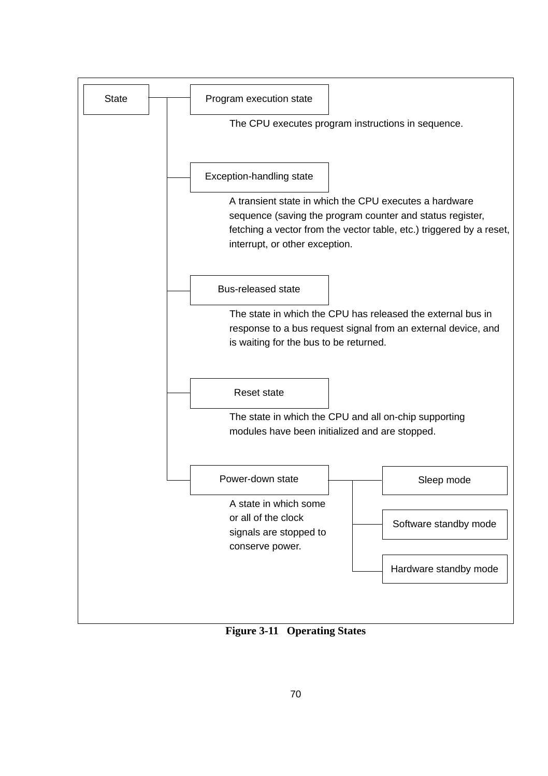

**Figure 3-11 Operating States**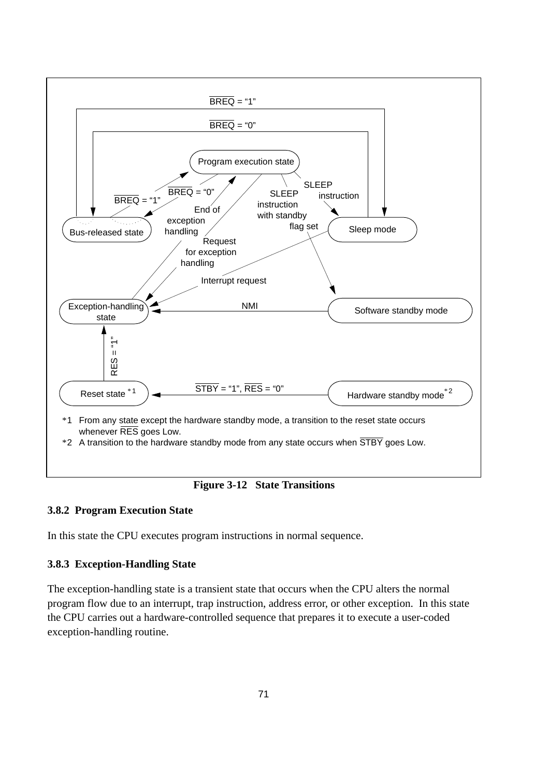

#### **3.8.2 Program Execution State**

In this state the CPU executes program instructions in normal sequence.

#### **3.8.3 Exception-Handling State**

The exception-handling state is a transient state that occurs when the CPU alters the normal program flow due to an interrupt, trap instruction, address error, or other exception. In this state the CPU carries out a hardware-controlled sequence that prepares it to execute a user-coded exception-handling routine.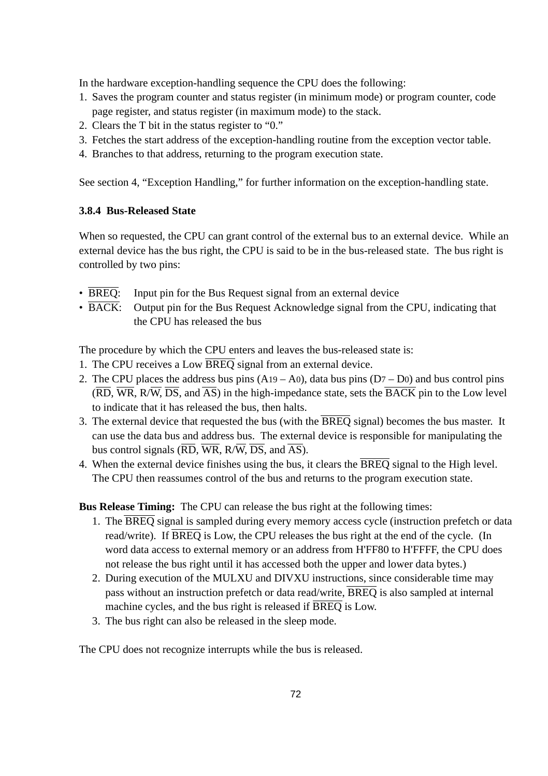In the hardware exception-handling sequence the CPU does the following:

- 1. Saves the program counter and status register (in minimum mode) or program counter, code page register, and status register (in maximum mode) to the stack.
- 2. Clears the T bit in the status register to "0."
- 3. Fetches the start address of the exception-handling routine from the exception vector table.
- 4. Branches to that address, returning to the program execution state.

See section 4, "Exception Handling," for further information on the exception-handling state.

### **3.8.4 Bus-Released State**

When so requested, the CPU can grant control of the external bus to an external device. While an external device has the bus right, the CPU is said to be in the bus-released state. The bus right is controlled by two pins:

- BREQ: Input pin for the Bus Request signal from an external device
- BACK: Output pin for the Bus Request Acknowledge signal from the CPU, indicating that the CPU has released the bus

The procedure by which the CPU enters and leaves the bus-released state is:

- 1. The CPU receives a Low BREQ signal from an external device.
- 2. The CPU places the address bus pins  $(A19 A0)$ , data bus pins  $(D7 D0)$  and bus control pins  $(\overline{RD}, \overline{WR}, R/\overline{W}, \overline{DS}, \overline{and AS})$  in the high-impedance state, sets the  $\overline{BACK}$  pin to the Low level to indicate that it has released the bus, then halts.
- 3. The external device that requested the bus (with the  $\overline{BREQ}$  signal) becomes the bus master. It can use the data bus and address bus. The external device is responsible for manipulating the bus control signals  $(\overline{RD}, \overline{WR}, R/\overline{W}, \overline{DS},$  and  $\overline{AS})$ .
- 4. When the external device finishes using the bus, it clears the BREQ signal to the High level. The CPU then reassumes control of the bus and returns to the program execution state.

**Bus Release Timing:** The CPU can release the bus right at the following times:

- 1. The BREQ signal is sampled during every memory access cycle (instruction prefetch or data read/write). If BREQ is Low, the CPU releases the bus right at the end of the cycle. (In word data access to external memory or an address from H'FF80 to H'FFFF, the CPU does not release the bus right until it has accessed both the upper and lower data bytes.)
- 2. During execution of the MULXU and DIVXU instructions, since considerable time may pass without an instruction prefetch or data read/write, BREQ is also sampled at internal machine cycles, and the bus right is released if BREQ is Low.
- 3. The bus right can also be released in the sleep mode.

The CPU does not recognize interrupts while the bus is released.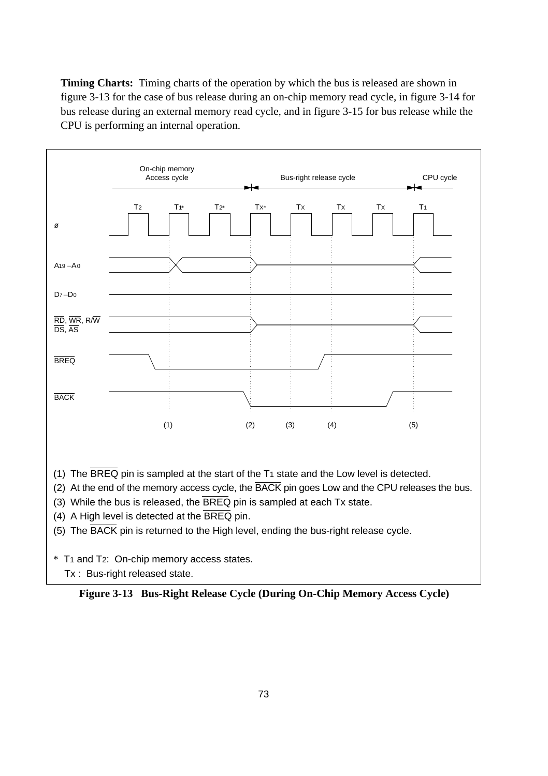**Timing Charts:** Timing charts of the operation by which the bus is released are shown in figure 3-13 for the case of bus release during an on-chip memory read cycle, in figure 3-14 for bus release during an external memory read cycle, and in figure 3-15 for bus release while the CPU is performing an internal operation.



- (1) The BREQ pin is sampled at the start of the T1 state and the Low level is detected.
- (2) At the end of the memory access cycle, the BACK pin goes Low and the CPU releases the bus.
- (3) While the bus is released, the BREQ pin is sampled at each Tx state.
- (4) A High level is detected at the BREQ pin.
- (5) The BACK pin is returned to the High level, ending the bus-right release cycle.
- \* T1 and T2: On-chip memory access states.
	- Tx : Bus-right released state.

**Figure 3-13 Bus-Right Release Cycle (During On-Chip Memory Access Cycle)**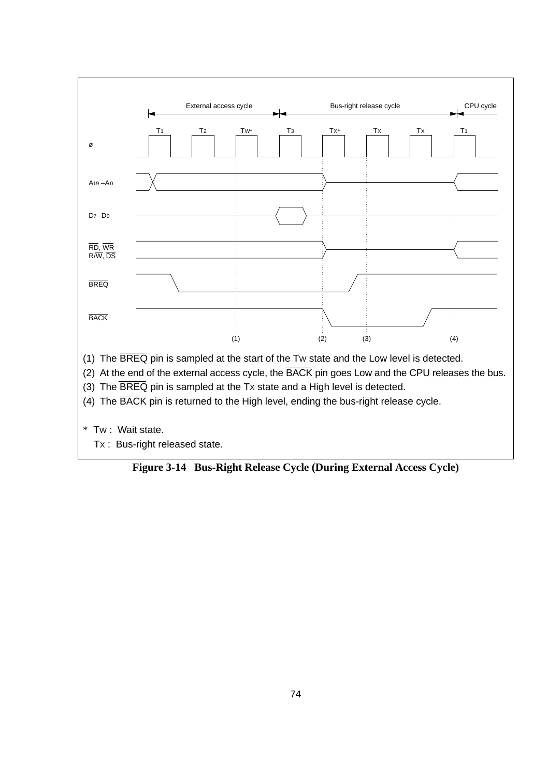

- (4) The BACK pin is returned to the High level, ending the bus-right release cycle.
- \* TW : Wait state.
	- TX : Bus-right released state.

**Figure 3-14 Bus-Right Release Cycle (During External Access Cycle)**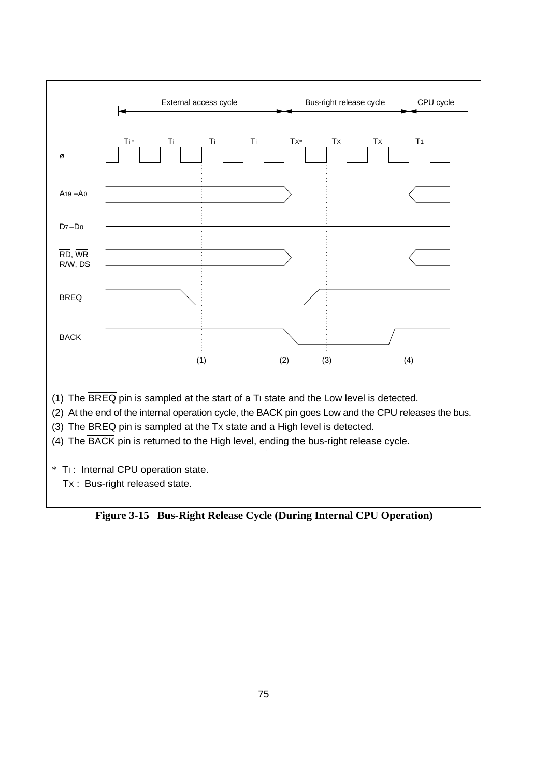

(1) The  $\overline{\text{BREQ}}$  pin is sampled at the start of a Ti state and the Low level is detected.

(2) At the end of the internal operation cycle, the BACK pin goes Low and the CPU releases the bus.

(3) The BREQ pin is sampled at the TX state and a High level is detected.

(4) The BACK pin is returned to the High level, ending the bus-right release cycle.

\* TI : Internal CPU operation state.

TX : Bus-right released state.

**Figure 3-15 Bus-Right Release Cycle (During Internal CPU Operation)**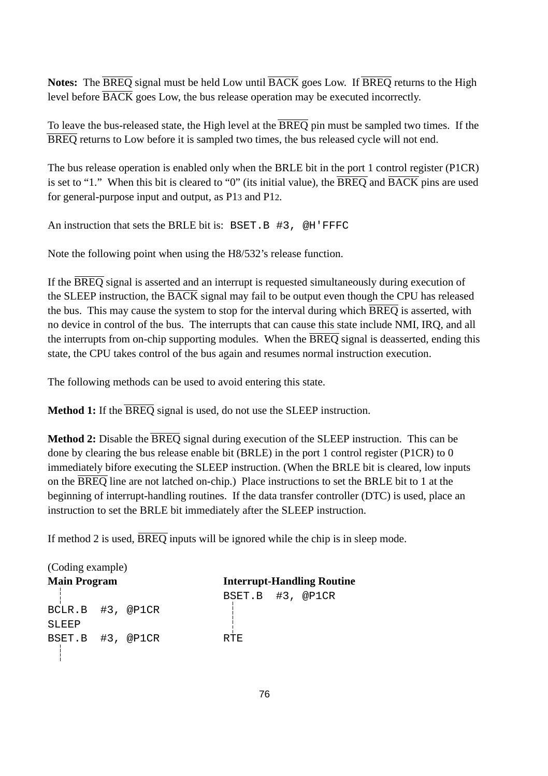**Notes:** The BREQ signal must be held Low until BACK goes Low. If BREQ returns to the High level before  $\overline{BACK}$  goes Low, the bus release operation may be executed incorrectly.

To leave the bus-released state, the High level at the  $\overline{BREQ}$  pin must be sampled two times. If the BREQ returns to Low before it is sampled two times, the bus released cycle will not end.

The bus release operation is enabled only when the BRLE bit in the port 1 control register (P1CR) is set to "1." When this bit is cleared to "0" (its initial value), the  $\overline{BREQ}$  and  $\overline{BACK}$  pins are used for general-purpose input and output, as P13 and P12.

An instruction that sets the BRLE bit is: BSET.B #3, @H'FFFC

Note the following point when using the H8/532's release function.

If the BREQ signal is asserted and an interrupt is requested simultaneously during execution of the SLEEP instruction, the BACK signal may fail to be output even though the CPU has released the bus. This may cause the system to stop for the interval during which BREQ is asserted, with no device in control of the bus. The interrupts that can cause this state include NMI, IRQ, and all the interrupts from on-chip supporting modules. When the  $\overline{BREQ}$  signal is deasserted, ending this state, the CPU takes control of the bus again and resumes normal instruction execution.

The following methods can be used to avoid entering this state.

**Method 1:** If the BREQ signal is used, do not use the SLEEP instruction.

**Method 2:** Disable the BREQ signal during execution of the SLEEP instruction. This can be done by clearing the bus release enable bit (BRLE) in the port 1 control register (P1CR) to 0 immediately bifore executing the SLEEP instruction. (When the BRLE bit is cleared, low inputs on the BREQ line are not latched on-chip.) Place instructions to set the BRLE bit to 1 at the beginning of interrupt-handling routines. If the data transfer controller (DTC) is used, place an instruction to set the BRLE bit immediately after the SLEEP instruction.

If method 2 is used, BREQ inputs will be ignored while the chip is in sleep mode.

| (Coding example)    |  |      |                                   |  |
|---------------------|--|------|-----------------------------------|--|
| <b>Main Program</b> |  |      | <b>Interrupt-Handling Routine</b> |  |
|                     |  |      | BSET.B #3, @P1CR                  |  |
| BCLR.B #3, @P1CR    |  |      |                                   |  |
| SLEEP               |  |      |                                   |  |
| BSET.B #3, @P1CR    |  | RTF. |                                   |  |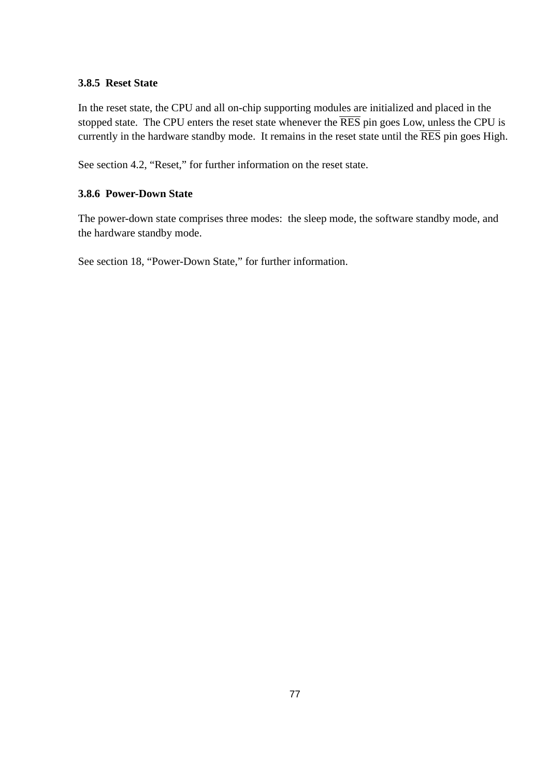#### **3.8.5 Reset State**

In the reset state, the CPU and all on-chip supporting modules are initialized and placed in the stopped state. The CPU enters the reset state whenever the  $\overline{\text{RES}}$  pin goes Low, unless the CPU is currently in the hardware standby mode. It remains in the reset state until the  $\overline{\text{RES}}$  pin goes High.

See section 4.2, "Reset," for further information on the reset state.

# **3.8.6 Power-Down State**

The power-down state comprises three modes: the sleep mode, the software standby mode, and the hardware standby mode.

See section 18, "Power-Down State," for further information.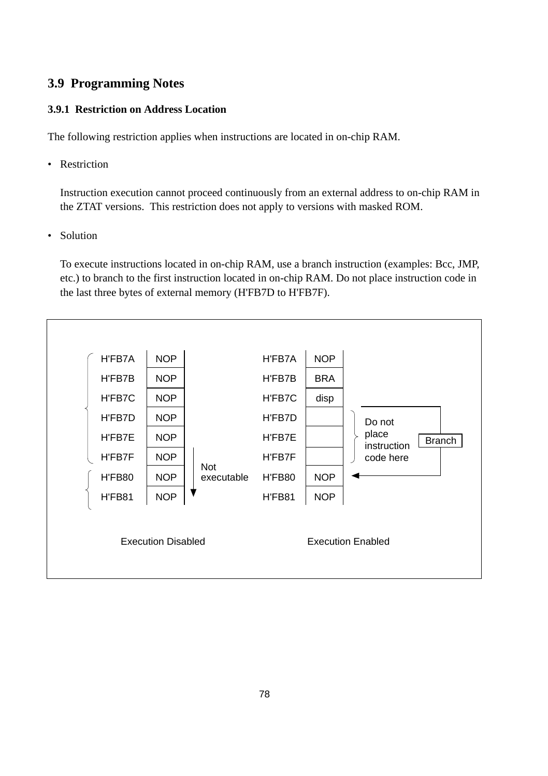# **3.9 Programming Notes**

### **3.9.1 Restriction on Address Location**

The following restriction applies when instructions are located in on-chip RAM.

• Restriction

Instruction execution cannot proceed continuously from an external address to on-chip RAM in the ZTAT versions. This restriction does not apply to versions with masked ROM.

• Solution

To execute instructions located in on-chip RAM, use a branch instruction (examples: Bcc, JMP, etc.) to branch to the first instruction located in on-chip RAM. Do not place instruction code in the last three bytes of external memory (H'FB7D to H'FB7F).

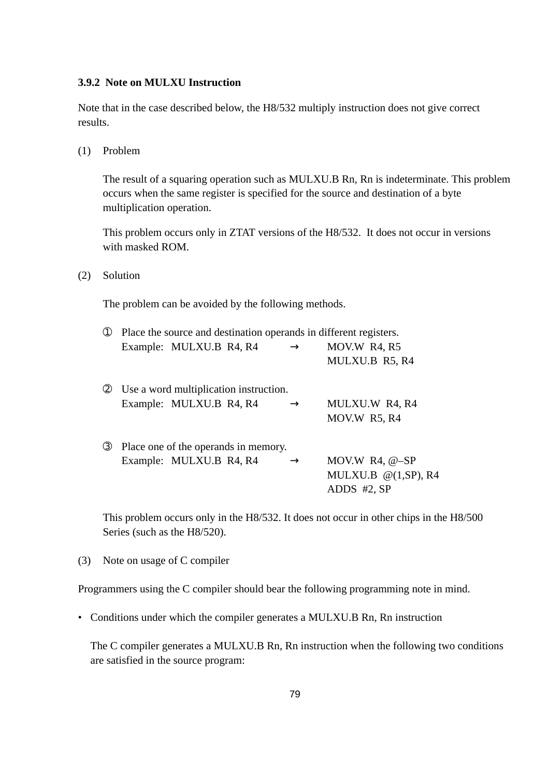#### **3.9.2 Note on MULXU Instruction**

Note that in the case described below, the H8/532 multiply instruction does not give correct results.

(1) Problem

The result of a squaring operation such as MULXU.B Rn, Rn is indeterminate. This problem occurs when the same register is specified for the source and destination of a byte multiplication operation.

This problem occurs only in ZTAT versions of the H8/532. It does not occur in versions with masked ROM.

(2) Solution

The problem can be avoided by the following methods.

| $\circ$       | Place the source and destination operands in different registers. |                                        |               |                        |
|---------------|-------------------------------------------------------------------|----------------------------------------|---------------|------------------------|
|               |                                                                   | Example: MULXU.B R4, R4                | $\rightarrow$ | MOV.W R4, R5           |
|               |                                                                   |                                        |               | MULXU.B R5, R4         |
| (2)           |                                                                   | Use a word multiplication instruction. |               |                        |
|               |                                                                   | Example: MULXU.B R4, R4                | $\rightarrow$ | MULXU.W R4, R4         |
|               |                                                                   |                                        |               | MOV.W R5, R4           |
| $\circled{3}$ | Place one of the operands in memory.                              |                                        |               |                        |
|               |                                                                   | Example: MULXU.B R4, R4                | $\rightarrow$ | MOV.W R4, $@-SP$       |
|               |                                                                   |                                        |               | MULXU.B $@(1,SP)$ , R4 |
|               |                                                                   |                                        |               | $ADDS$ #2, $SP$        |
|               |                                                                   |                                        |               |                        |

This problem occurs only in the H8/532. It does not occur in other chips in the H8/500 Series (such as the H8/520).

(3) Note on usage of C compiler

Programmers using the C compiler should bear the following programming note in mind.

• Conditions under which the compiler generates a MULXU.B Rn, Rn instruction

The C compiler generates a MULXU.B Rn, Rn instruction when the following two conditions are satisfied in the source program: